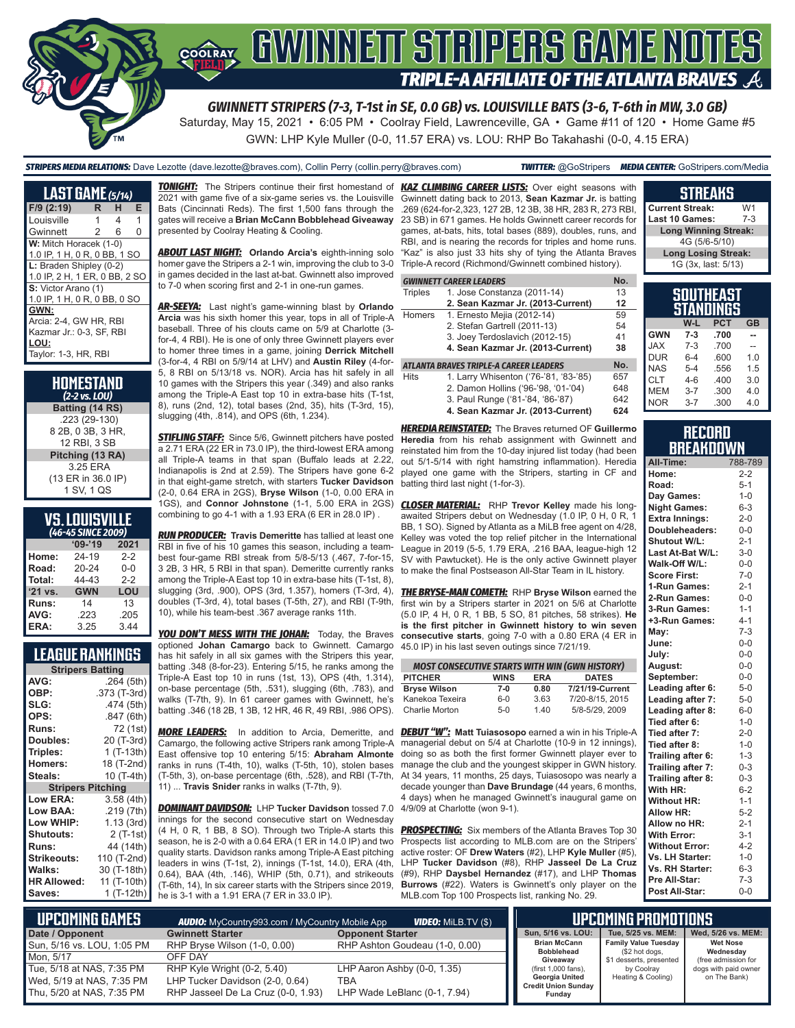

Saturday, May 15, 2021 • 6:05 PM • Coolray Field, Lawrenceville, GA • Game #11 of 120 • Home Game #5 GWN: LHP Kyle Muller (0-0, 11.57 ERA) vs. LOU: RHP Bo Takahashi (0-0, 4.15 ERA)

#### *STRIPERS MEDIA RELATIONS:* Dave Lezotte (dave.lezotte@braves.com), Collin Perry (collin.perry@braves.com) *TWITTER:* @GoStripers *MEDIA CENTER:* GoStripers.com/Media

## **STREAKS**

| <b>LAST GAME</b> (5/14)       |    |     |   |
|-------------------------------|----|-----|---|
| F/9 (2:19)                    | R. | н   | E |
| Louisville                    | 1  | 4   | 1 |
| Gwinnett                      | 2  | - 6 | 0 |
| W: Mitch Horacek (1-0)        |    |     |   |
| 1.0 IP, 1 H, 0 R, 0 BB, 1 SO  |    |     |   |
| L: Braden Shipley (0-2)       |    |     |   |
| 1.0 IP, 2 H, 1 ER, 0 BB, 2 SO |    |     |   |
| S: Victor Arano (1)           |    |     |   |
| 1.0 IP, 1 H, 0 R, 0 BB, 0 SO  |    |     |   |
| GWN:                          |    |     |   |
| Arcia: 2-4, GW HR, RBI        |    |     |   |
| Kazmar Jr.: 0-3, SF, RBI      |    |     |   |
| LOU:                          |    |     |   |
| Taylor: 1-3, HR, RBI          |    |     |   |

| HOMESTAND<br>$(2-2$ vs. LOU) |
|------------------------------|
| Batting (14 RS)              |
| .223 (29-130)                |
| 8 2B, 0 3B, 3 HR,            |
| 12 RBI, 3 SB                 |
| Pitching (13 RA)             |
| 3.25 ERA                     |
| (13 ER in 36.0 IP)           |
| 1 SV, 1 QS                   |

## **VS. LOUISVILLE**

| (46-45 SINCE 2009) |            |         |  |  |  |  |  |
|--------------------|------------|---------|--|--|--|--|--|
|                    | $'09-'19$  | 2021    |  |  |  |  |  |
| Home:              | 24-19      | $2 - 2$ |  |  |  |  |  |
| Road:              | $20 - 24$  | $0 - 0$ |  |  |  |  |  |
| Total:             | 44-43      | $2 - 2$ |  |  |  |  |  |
| '21 vs.            | <b>GWN</b> | LOU     |  |  |  |  |  |
| Runs:              | 14         | 13      |  |  |  |  |  |
| AVG:               | .223       | .205    |  |  |  |  |  |
| ERA:               | 3.25       | 3.44    |  |  |  |  |  |

## **LEAGUE RANKINGS**

| <b>Stripers Batting</b>  |              |
|--------------------------|--------------|
| AVG:                     | .264 (5th)   |
| OBP:                     | .373 (T-3rd) |
| SLG:                     | .474 (5th)   |
| OPS:                     | .847 (6th)   |
| <b>Runs:</b>             | 72 (1st)     |
| Doubles:                 | 20 (T-3rd)   |
| Triples:                 | $1(T-13th)$  |
| <b>Homers:</b>           | 18 (T-2nd)   |
| Steals:                  | 10 (T-4th)   |
| <b>Stripers Pitching</b> |              |
| <b>Low ERA:</b>          | 3.58 (4th)   |
| Low BAA:                 | .219 (7th)   |
| Low WHIP:                | 1.13(3rd)    |
| <b>Shutouts:</b>         | $2($ T-1st)  |
| Runs:                    | 44 (14th)    |
| <b>Strikeouts:</b>       | 110 (T-2nd)  |
| Walks:                   | 30 (T-18th)  |
| <b>HR Allowed:</b>       | 11 (T-10th)  |
| Saves:                   | 1 (T-12th)   |

2021 with game five of a six-game series vs. the Louisville Bats (Cincinnati Reds). The first 1,500 fans through the gates will receive a **Brian McCann Bobblehead Giveaway** presented by Coolray Heating & Cooling.

*ABOUT LAST NIGHT:* **Orlando Arcia's** eighth-inning solo homer gave the Stripers a 2-1 win, improving the club to 3-0 in games decided in the last at-bat. Gwinnett also improved to 7-0 when scoring first and 2-1 in one-run games.

*AR-SEEYA:* Last night's game-winning blast by **Orlando Arcia** was his sixth homer this year, tops in all of Triple-A baseball. Three of his clouts came on 5/9 at Charlotte (3 for-4, 4 RBI). He is one of only three Gwinnett players ever to homer three times in a game, joining **Derrick Mitchell** (3-for-4, 4 RBI on 5/9/14 at LHV) and **Austin Riley** (4-for-5, 8 RBI on 5/13/18 vs. NOR). Arcia has hit safely in all 10 games with the Stripers this year (.349) and also ranks among the Triple-A East top 10 in extra-base hits (T-1st, 8), runs (2nd, 12), total bases (2nd, 35), hits (T-3rd, 15), slugging (4th, .814), and OPS (6th, 1.234).

**STIFLING STAFF:** Since 5/6, Gwinnett pitchers have posted a 2.71 ERA (22 ER in 73.0 IP), the third-lowest ERA among all Triple-A teams in that span (Buffalo leads at 2.22, Indianapolis is 2nd at 2.59). The Stripers have gone 6-2 in that eight-game stretch, with starters **Tucker Davidson** (2-0, 0.64 ERA in 2GS), **Bryse Wilson** (1-0, 0.00 ERA in 1GS), and **Connor Johnstone** (1-1, 5.00 ERA in 2GS) combining to go 4-1 with a 1.93 ERA (6 ER in 28.0 IP) .

*RUN PRODUCER:* **Travis Demeritte** has tallied at least one RBI in five of his 10 games this season, including a teambest four-game RBI streak from 5/8-5/13 (.467, 7-for-15, 3 2B, 3 HR, 5 RBI in that span). Demeritte currently ranks among the Triple-A East top 10 in extra-base hits (T-1st, 8), slugging (3rd, .900), OPS (3rd, 1.357), homers (T-3rd, 4), doubles (T-3rd, 4), total bases (T-5th, 27), and RBI (T-9th, 10), while his team-best .367 average ranks 11th.

*YOU DON'T MESS WITH THE JOHAN:* Today, the Braves optioned **Johan Camargo** back to Gwinnett. Camargo has hit safely in all six games with the Stripers this year, batting .348 (8-for-23). Entering 5/15, he ranks among the Triple-A East top 10 in runs (1st, 13), OPS (4th, 1.314), on-base percentage (5th, .531), slugging (6th, .783), and walks (T-7th, 9). In 61 career games with Gwinnett, he's batting .346 (18 2B, 1 3B, 12 HR, 46 R, 49 RBI, .986 OPS).

*MORE LEADERS:* In addition to Arcia, Demeritte, and *DEBUT "W":* **Matt Tuiasosopo** earned a win in his Triple-A Camargo, the following active Stripers rank among Triple-A East offensive top 10 entering 5/15: **Abraham Almonte** ranks in runs (T-4th, 10), walks (T-5th, 10), stolen bases manage the club and the youngest skipper in GWN history. (T-5th, 3), on-base percentage (6th, .528), and RBI (T-7th, 11) ... **Travis Snider** ranks in walks (T-7th, 9).

*DOMINANT DAVIDSON:* LHP **Tucker Davidson** tossed 7.0 innings for the second consecutive start on Wednesday (4 H, 0 R, 1 BB, 8 SO). Through two Triple-A starts this season, he is 2-0 with a 0.64 ERA (1 ER in 14.0 IP) and two quality starts. Davidson ranks among Triple-A East pitching leaders in wins (T-1st, 2), innings (T-1st, 14.0), ERA (4th, 0.64), BAA (4th, .146), WHIP (5th, 0.71), and strikeouts (T-6th, 14), In six career starts with the Stripers since 2019, he is 3-1 with a 1.91 ERA (7 ER in 33.0 IP).

*TONIGHT:* The Stripers continue their first homestand of *KAZ CLIMBING CAREER LISTS:* Over eight seasons with Gwinnett dating back to 2013, **Sean Kazmar Jr.** is batting .269 (624-for-2,323, 127 2B, 12 3B, 38 HR, 283 R, 273 RBI, 23 SB) in 671 games. He holds Gwinnett career records for games, at-bats, hits, total bases (889), doubles, runs, and RBI, and is nearing the records for triples and home runs. "Kaz" is also just 33 hits shy of tying the Atlanta Braves Triple-A record (Richmond/Gwinnett combined history).

|               | <b>GWINNETT CAREER LEADERS</b>                | No. |
|---------------|-----------------------------------------------|-----|
| Triples       | 1. Jose Constanza (2011-14)                   | 13  |
|               | 2. Sean Kazmar Jr. (2013-Current)             | 12  |
| <b>Homers</b> | 1. Ernesto Mejia (2012-14)                    | 59  |
|               | 2. Stefan Gartrell (2011-13)                  | 54  |
|               | 3. Joey Terdoslavich (2012-15)                | 41  |
|               | 4. Sean Kazmar Jr. (2013-Current)             | 38  |
|               | <b>ATLANTA BRAVES TRIPLE-A CAREER LEADERS</b> | No. |
| <b>Hits</b>   | 1. Larry Whisenton ('76-'81, '83-'85)         | 657 |

2. Damon Hollins ('96-'98, '01-'04) 648 3. Paul Runge ('81-'84, '86-'87) 642 **4. Sean Kazmar Jr. (2013-Current) 624**

*HEREDIA REINSTATED:* The Braves returned OF **Guillermo Heredia** from his rehab assignment with Gwinnett and reinstated him from the 10-day injured list today (had been out 5/1-5/14 with right hamstring inflammation). Heredia played one game with the Stripers, starting in CF and batting third last night (1-for-3).

*CLOSER MATERIAL:* RHP **Trevor Kelley** made his longawaited Stripers debut on Wednesday (1.0 IP, 0 H, 0 R, 1 BB, 1 SO). Signed by Atlanta as a MiLB free agent on 4/28, Kelley was voted the top relief pitcher in the International League in 2019 (5-5, 1.79 ERA, .216 BAA, league-high 12 SV with Pawtucket). He is the only active Gwinnett player to make the final Postseason All-Star Team in IL history.

*THE BRYSE-MAN COMETH:* RHP **Bryse Wilson** earned the first win by a Stripers starter in 2021 on 5/6 at Charlotte (5.0 IP, 4 H, 0 R, 1 BB, 5 SO, 81 pitches, 58 strikes). **He is the first pitcher in Gwinnett history to win seven consecutive starts**, going 7-0 with a 0.80 ERA (4 ER in 45.0 IP) in his last seven outings since 7/21/19.

| <b>MOST CONSECUTIVE STARTS WITH WIN (GWN HISTORY)</b> |             |            |                 |
|-------------------------------------------------------|-------------|------------|-----------------|
| <b>PITCHER</b>                                        | <b>WINS</b> | <b>ERA</b> | <b>DATES</b>    |
| <b>Bryse Wilson</b>                                   | $7-0$       | 0.80       | 7/21/19-Current |
| Kanekoa Texeira                                       | $6 - 0$     | 3.63       | 7/20-8/15, 2015 |
| Charlie Morton                                        | $5-0$       | 140        | 5/8-5/29, 2009  |

managerial debut on 5/4 at Charlotte (10-9 in 12 innings), doing so as both the first former Gwinnett player ever to At 34 years, 11 months, 25 days, Tuiasosopo was nearly a decade younger than **Dave Brundage** (44 years, 6 months, 4 days) when he managed Gwinnett's inaugural game on 4/9/09 at Charlotte (won 9-1).

**PROSPECTING:** Six members of the Atlanta Braves Top 30 Prospects list according to MLB.com are on the Stripers' active roster: OF **Drew Waters** (#2), LHP **Kyle Muller** (#5), LHP **Tucker Davidson** (#8), RHP **Jasseel De La Cruz** (#9), RHP **Daysbel Hernandez** (#17), and LHP **Thomas Burrows** (#22). Waters is Gwinnett's only player on the MLB.com Top 100 Prospects list, ranking No. 29.

| .                           |                |
|-----------------------------|----------------|
| <b>Current Streak:</b>      | W <sub>1</sub> |
| Last 10 Games:              | 7-3            |
| <b>Long Winning Streak:</b> |                |
| 4G (5/6-5/10)               |                |
| <b>Long Losing Streak:</b>  |                |
| 1G (3x, last: 5/13)         |                |
|                             |                |
|                             |                |

|            |         | <u>su</u> uthlasi<br>STANDINGS |           |
|------------|---------|--------------------------------|-----------|
|            | W-L     | <b>PCT</b>                     | <b>GB</b> |
| <b>GWN</b> | $7-3$   | .700                           |           |
| <b>JAX</b> | $7 - 3$ | .700                           |           |
| <b>DUR</b> | $6 - 4$ | .600                           | 1.0       |
| <b>NAS</b> | $5 - 4$ | .556                           | 1.5       |
| <b>CLT</b> | $4 - 6$ | .400                           | 3.0       |
| <b>MEM</b> | $3 - 7$ | .300                           | 4.0       |
| <b>NOR</b> | $3 - 7$ | .300                           | 4.0       |

### **RECORD BREAKDOWN**

| All-Time:             | 788-789 |
|-----------------------|---------|
| Home:                 | $2 - 2$ |
| Road:                 | $5 - 1$ |
| Day Games:            | $1 - 0$ |
| <b>Night Games:</b>   | $6 - 3$ |
| <b>Extra Innings:</b> | $2 - 0$ |
| Doubleheaders:        | $0 - 0$ |
| Shutout W/L:          | $2 - 1$ |
| Last At-Bat W/L:      | $3 - 0$ |
| Walk-Off W/L:         | $0 - 0$ |
| <b>Score First:</b>   | $7 - 0$ |
| 1-Run Games:          | $2 - 1$ |
| 2-Run Games:          | $0-0$   |
| 3-Run Games:          | $1 - 1$ |
| +3-Run Games:         | $4 - 1$ |
| May:                  | $7 - 3$ |
| June:                 | $0 - 0$ |
| July:                 | $0-0$   |
| August:               | $0-0$   |
| September:            | $0-0$   |
| Leading after 6:      | $5-0$   |
| Leading after 7:      | $5-0$   |
| Leading after 8:      | $6-0$   |
| Tied after 6:         | $1 - 0$ |
| Tied after 7:         | $2 - 0$ |
| Tied after 8:         | $1 - 0$ |
| Trailing after 6:     | $1 - 3$ |
| Trailing after 7:     | $0 - 3$ |
| Trailing after 8:     | $0 - 3$ |
| With HR:              | $6 - 2$ |
| <b>Without HR:</b>    | $1 - 1$ |
| <b>Allow HR:</b>      | $5 - 2$ |
| Allow no HR:          | $2 - 1$ |
| <b>With Error:</b>    | $3 - 1$ |
| <b>Without Error:</b> | $4 - 2$ |
| Vs. LH Starter:       | $1 - 0$ |
| Vs. RH Starter:       | $6 - 3$ |
| Pre All-Star:         | $7-3$   |
| Post All-Star:        | $0 - 0$ |

| NUPCOMING GAMES            | <b>AUDIO:</b> MyCountry993.com / MyCountry Mobile App |                                | LIPCOMING PROMOTIONS                         |                                               |                              |
|----------------------------|-------------------------------------------------------|--------------------------------|----------------------------------------------|-----------------------------------------------|------------------------------|
| Date / Opponent            | <b>Gwinnett Starter</b>                               | <b>Opponent Starter</b>        | Sun, 5/16 vs. LOU:                           | Tue. 5/25 vs. MEM:                            | Wed. 5/26 vs. MEM:           |
| Sun, 5/16 vs. LOU, 1:05 PM | RHP Bryse Wilson (1-0, 0.00)                          | RHP Ashton Goudeau (1-0, 0.00) | <b>Brian McCann</b><br><b>Bobblehead</b>     | <b>Family Value Tuesday</b><br>(\$2 hot dogs, | <b>Wet Nose</b><br>Wednesdav |
| Mon. 5/17                  | OFF DAY                                               |                                | Giveaway                                     | \$1 desserts, presented                       | (free admission for          |
| Tue, 5/18 at NAS, 7:35 PM  | RHP Kyle Wright (0-2, 5.40)                           | LHP Aaron Ashby (0-0, 1.35)    | (first 1,000 fans),                          | by Coolray                                    | dogs with paid owner         |
| Wed. 5/19 at NAS. 7:35 PM  | LHP Tucker Davidson (2-0, 0.64)                       | TBA                            | Georgia United<br><b>Credit Union Sunday</b> | Heating & Cooling)                            | on The Bank)                 |
| Thu, 5/20 at NAS, 7:35 PM  | RHP Jasseel De La Cruz (0-0, 1.93)                    | LHP Wade LeBlanc (0-1, 7.94)   | Fundav                                       |                                               |                              |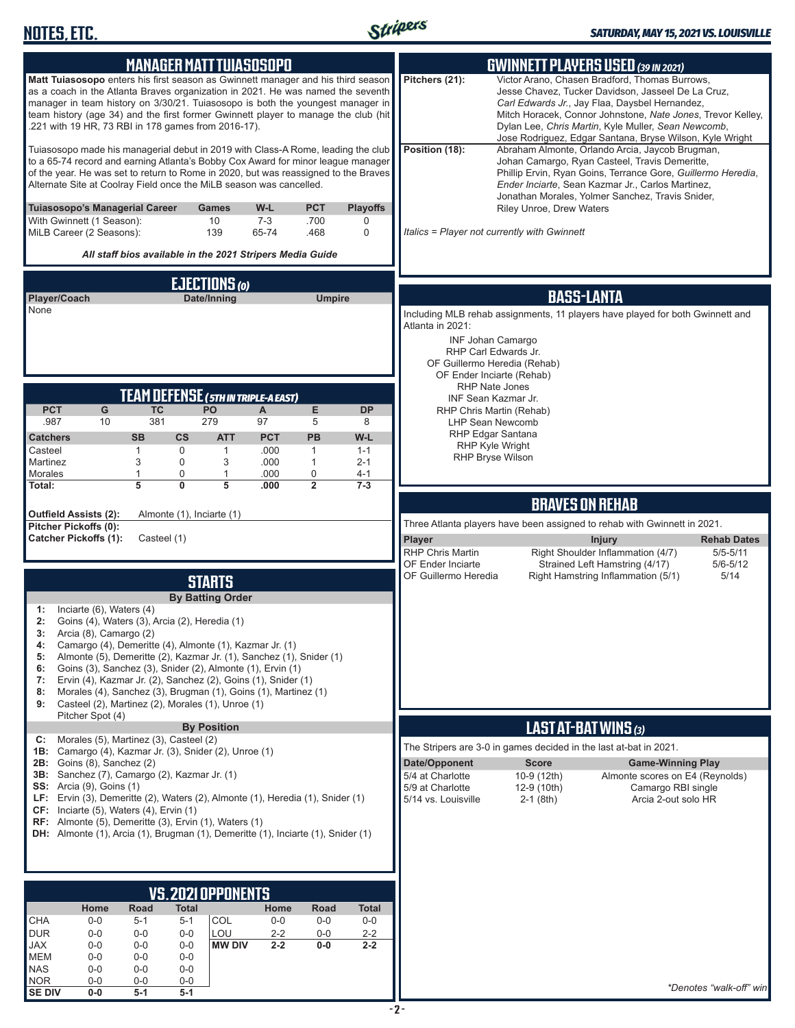

|                                                                                                                                                                                                                                                                                                                                                                                                    |                          |                  |                                        | <b>MANAGER MATT TUIASOSOPO</b>                                                                                                                                                                                                                                                                                                                                                                                                                                   |                         |                            |                           |                                                                              | <b>GWINNETT PLAYERS USED (39 IN 2021)</b>                                                                                                                                                                                                                                                                                                |  |
|----------------------------------------------------------------------------------------------------------------------------------------------------------------------------------------------------------------------------------------------------------------------------------------------------------------------------------------------------------------------------------------------------|--------------------------|------------------|----------------------------------------|------------------------------------------------------------------------------------------------------------------------------------------------------------------------------------------------------------------------------------------------------------------------------------------------------------------------------------------------------------------------------------------------------------------------------------------------------------------|-------------------------|----------------------------|---------------------------|------------------------------------------------------------------------------|------------------------------------------------------------------------------------------------------------------------------------------------------------------------------------------------------------------------------------------------------------------------------------------------------------------------------------------|--|
| Matt Tuiasosopo enters his first season as Gwinnett manager and his third season<br>as a coach in the Atlanta Braves organization in 2021. He was named the seventh<br>manager in team history on 3/30/21. Tuiasosopo is both the youngest manager in<br>team history (age 34) and the first former Gwinnett player to manage the club (hit<br>.221 with 19 HR, 73 RBI in 178 games from 2016-17). |                          |                  |                                        |                                                                                                                                                                                                                                                                                                                                                                                                                                                                  |                         |                            |                           | Pitchers (21):                                                               | Victor Arano, Chasen Bradford, Thomas Burrows,<br>Jesse Chavez, Tucker Davidson, Jasseel De La Cruz,<br>Carl Edwards Jr., Jay Flaa, Daysbel Hernandez,<br>Mitch Horacek, Connor Johnstone, Nate Jones, Trevor Kelley,<br>Dylan Lee, Chris Martin, Kyle Muller, Sean Newcomb,<br>Jose Rodriguez, Edgar Santana, Bryse Wilson, Kyle Wright |  |
| Tuiasosopo made his managerial debut in 2019 with Class-A Rome, leading the club<br>to a 65-74 record and earning Atlanta's Bobby Cox Award for minor league manager<br>of the year. He was set to return to Rome in 2020, but was reassigned to the Braves<br>Alternate Site at Coolray Field once the MiLB season was cancelled.                                                                 |                          |                  |                                        |                                                                                                                                                                                                                                                                                                                                                                                                                                                                  |                         |                            |                           | Position (18):                                                               | Abraham Almonte, Orlando Arcia, Jaycob Brugman,<br>Johan Camargo, Ryan Casteel, Travis Demeritte,<br>Phillip Ervin, Ryan Goins, Terrance Gore, Guillermo Heredia,<br>Ender Inciarte, Sean Kazmar Jr., Carlos Martinez,<br>Jonathan Morales, Yolmer Sanchez, Travis Snider,                                                               |  |
| Tuiasosopo's Managerial Career<br>With Gwinnett (1 Season):<br>MiLB Career (2 Seasons):                                                                                                                                                                                                                                                                                                            |                          |                  |                                        | Games<br>10<br>139                                                                                                                                                                                                                                                                                                                                                                                                                                               | W-L<br>$7 - 3$<br>65-74 | <b>PCT</b><br>.700<br>.468 | <b>Playoffs</b><br>0<br>0 |                                                                              | Riley Unroe, Drew Waters<br>Italics = Player not currently with Gwinnett                                                                                                                                                                                                                                                                 |  |
|                                                                                                                                                                                                                                                                                                                                                                                                    |                          |                  |                                        | All staff bios available in the 2021 Stripers Media Guide                                                                                                                                                                                                                                                                                                                                                                                                        |                         |                            |                           |                                                                              |                                                                                                                                                                                                                                                                                                                                          |  |
|                                                                                                                                                                                                                                                                                                                                                                                                    |                          |                  |                                        | <b>EJECTIONS</b>                                                                                                                                                                                                                                                                                                                                                                                                                                                 |                         |                            |                           |                                                                              |                                                                                                                                                                                                                                                                                                                                          |  |
| Player/Coach<br>None                                                                                                                                                                                                                                                                                                                                                                               |                          |                  |                                        | Date/Inning                                                                                                                                                                                                                                                                                                                                                                                                                                                      |                         | <b>Umpire</b>              |                           |                                                                              | <b>BASS-LANTA</b>                                                                                                                                                                                                                                                                                                                        |  |
|                                                                                                                                                                                                                                                                                                                                                                                                    |                          |                  |                                        |                                                                                                                                                                                                                                                                                                                                                                                                                                                                  |                         |                            |                           | Atlanta in 2021:                                                             | Including MLB rehab assignments, 11 players have played for both Gwinnett and<br><b>INF Johan Camargo</b><br>RHP Carl Edwards Jr.<br>OF Guillermo Heredia (Rehab)<br>OF Ender Inciarte (Rehab)<br>RHP Nate Jones                                                                                                                         |  |
|                                                                                                                                                                                                                                                                                                                                                                                                    |                          |                  |                                        | <b>TEAM DEFENSE (5TH IN TRIPLE-A EAST)</b>                                                                                                                                                                                                                                                                                                                                                                                                                       |                         |                            |                           |                                                                              | INF Sean Kazmar Jr.                                                                                                                                                                                                                                                                                                                      |  |
| <b>PCT</b><br>.987                                                                                                                                                                                                                                                                                                                                                                                 | G<br>10                  | <b>TC</b><br>381 |                                        | <b>PO</b><br>279                                                                                                                                                                                                                                                                                                                                                                                                                                                 | A<br>97                 | E<br>5                     | <b>DP</b><br>8            |                                                                              | RHP Chris Martin (Rehab)<br>LHP Sean Newcomb                                                                                                                                                                                                                                                                                             |  |
| <b>Catchers</b>                                                                                                                                                                                                                                                                                                                                                                                    |                          | <b>SB</b>        | $\mathsf{cs}$                          | <b>ATT</b>                                                                                                                                                                                                                                                                                                                                                                                                                                                       | <b>PCT</b>              | <b>PB</b>                  | W-L                       |                                                                              | RHP Edgar Santana<br>RHP Kyle Wright                                                                                                                                                                                                                                                                                                     |  |
| Casteel<br>Martinez                                                                                                                                                                                                                                                                                                                                                                                |                          | 1<br>3           | 0<br>0                                 | 1<br>3                                                                                                                                                                                                                                                                                                                                                                                                                                                           | .000<br>.000            | 1<br>$\mathbf{1}$          | $1 - 1$<br>$2 - 1$        |                                                                              | RHP Bryse Wilson                                                                                                                                                                                                                                                                                                                         |  |
| Morales<br>Total:                                                                                                                                                                                                                                                                                                                                                                                  |                          | 5                | $\mathbf 0$<br>0                       | 1<br>5                                                                                                                                                                                                                                                                                                                                                                                                                                                           | .000<br>.000            | 0<br>$\overline{2}$        | $4 - 1$<br>$7 - 3$        |                                                                              |                                                                                                                                                                                                                                                                                                                                          |  |
|                                                                                                                                                                                                                                                                                                                                                                                                    |                          |                  |                                        |                                                                                                                                                                                                                                                                                                                                                                                                                                                                  |                         |                            |                           |                                                                              | <b>BRAVES ON REHAB</b>                                                                                                                                                                                                                                                                                                                   |  |
| <b>Outfield Assists (2):</b><br>Pitcher Pickoffs (0):                                                                                                                                                                                                                                                                                                                                              |                          |                  |                                        | Almonte (1), Inciarte (1)                                                                                                                                                                                                                                                                                                                                                                                                                                        |                         |                            |                           |                                                                              | Three Atlanta players have been assigned to rehab with Gwinnett in 2021.                                                                                                                                                                                                                                                                 |  |
| <b>Catcher Pickoffs (1):</b>                                                                                                                                                                                                                                                                                                                                                                       |                          |                  | Casteel (1)                            |                                                                                                                                                                                                                                                                                                                                                                                                                                                                  |                         |                            |                           | Player<br>RHP Chris Martin                                                   | <b>Rehab Dates</b><br><b>Injury</b><br>Right Shoulder Inflammation (4/7)<br>$5/5 - 5/11$                                                                                                                                                                                                                                                 |  |
|                                                                                                                                                                                                                                                                                                                                                                                                    |                          |                  |                                        |                                                                                                                                                                                                                                                                                                                                                                                                                                                                  |                         |                            |                           | OF Ender Inciarte                                                            | Strained Left Hamstring (4/17)<br>$5/6 - 5/12$                                                                                                                                                                                                                                                                                           |  |
|                                                                                                                                                                                                                                                                                                                                                                                                    |                          |                  |                                        | <b>STARTS</b>                                                                                                                                                                                                                                                                                                                                                                                                                                                    |                         |                            |                           | OF Guillermo Heredia                                                         | 5/14<br>Right Hamstring Inflammation (5/1)                                                                                                                                                                                                                                                                                               |  |
| 1:<br>2:<br>3:<br>Arcia (8), Camargo (2)<br>4:<br>5:<br>6:<br>7:<br>8:<br>9:                                                                                                                                                                                                                                                                                                                       | Inciarte (6), Waters (4) |                  |                                        | <b>By Batting Order</b><br>Goins (4), Waters (3), Arcia (2), Heredia (1)<br>Camargo (4), Demeritte (4), Almonte (1), Kazmar Jr. (1)<br>Almonte (5), Demeritte (2), Kazmar Jr. (1), Sanchez (1), Snider (1)<br>Goins (3), Sanchez (3), Snider (2), Almonte (1), Ervin (1)<br>Ervin (4), Kazmar Jr. (2), Sanchez (2), Goins (1), Snider (1)<br>Morales (4), Sanchez (3), Brugman (1), Goins (1), Martinez (1)<br>Casteel (2), Martinez (2), Morales (1), Unroe (1) |                         |                            |                           |                                                                              |                                                                                                                                                                                                                                                                                                                                          |  |
|                                                                                                                                                                                                                                                                                                                                                                                                    | Pitcher Spot (4)         |                  |                                        | <b>By Position</b>                                                                                                                                                                                                                                                                                                                                                                                                                                               |                         |                            |                           |                                                                              | LAST AT-BAT WINS (3)                                                                                                                                                                                                                                                                                                                     |  |
| C:<br>1B: Camargo (4), Kazmar Jr. (3), Snider (2), Unroe (1)                                                                                                                                                                                                                                                                                                                                       |                          |                  | Morales (5), Martinez (3), Casteel (2) |                                                                                                                                                                                                                                                                                                                                                                                                                                                                  |                         |                            |                           |                                                                              | The Stripers are 3-0 in games decided in the last at-bat in 2021.                                                                                                                                                                                                                                                                        |  |
| <b>2B:</b> Goins (8), Sanchez (2)<br>3B: Sanchez (7), Camargo (2), Kazmar Jr. (1)<br><b>SS:</b> Arcia (9), Goins (1)<br>LF: Ervin (3), Demeritte (2), Waters (2), Almonte (1), Heredia (1), Snider (1)<br>CF: Inciarte (5), Waters (4), Ervin (1)<br>RF: Almonte (5), Demeritte (3), Ervin (1), Waters (1)<br>DH: Almonte (1), Arcia (1), Brugman (1), Demeritte (1), Inciarte (1), Snider (1)     |                          |                  |                                        |                                                                                                                                                                                                                                                                                                                                                                                                                                                                  |                         |                            |                           | Date/Opponent<br>5/4 at Charlotte<br>5/9 at Charlotte<br>5/14 vs. Louisville | <b>Score</b><br><b>Game-Winning Play</b><br>10-9 (12th)<br>Almonte scores on E4 (Reynolds)<br>12-9 (10th)<br>Camargo RBI single<br>Arcia 2-out solo HR<br>$2-1$ (8th)                                                                                                                                                                    |  |
|                                                                                                                                                                                                                                                                                                                                                                                                    |                          |                  |                                        |                                                                                                                                                                                                                                                                                                                                                                                                                                                                  |                         |                            |                           |                                                                              |                                                                                                                                                                                                                                                                                                                                          |  |
|                                                                                                                                                                                                                                                                                                                                                                                                    | Home                     | Road             | <b>Total</b>                           | <b>VS.2021 OPPONENTS</b>                                                                                                                                                                                                                                                                                                                                                                                                                                         | Home                    |                            |                           |                                                                              |                                                                                                                                                                                                                                                                                                                                          |  |
| CHA                                                                                                                                                                                                                                                                                                                                                                                                | $0-0$                    | $5 - 1$          | $5 - 1$                                | COL                                                                                                                                                                                                                                                                                                                                                                                                                                                              | $0-0$                   | Road<br>$0-0$              | <b>Total</b><br>$0-0$     |                                                                              |                                                                                                                                                                                                                                                                                                                                          |  |
| <b>DUR</b><br><b>JAX</b>                                                                                                                                                                                                                                                                                                                                                                           | $0-0$<br>$0-0$           | $0-0$<br>$0 - 0$ | $0-0$<br>$0-0$                         | LOU<br><b>MW DIV</b>                                                                                                                                                                                                                                                                                                                                                                                                                                             | $2 - 2$<br>$2 - 2$      | $0-0$<br>$0-0$             | $2 - 2$<br>$2 - 2$        |                                                                              |                                                                                                                                                                                                                                                                                                                                          |  |
| <b>MEM</b>                                                                                                                                                                                                                                                                                                                                                                                         | $0-0$                    | $0-0$            | $0-0$                                  |                                                                                                                                                                                                                                                                                                                                                                                                                                                                  |                         |                            |                           |                                                                              |                                                                                                                                                                                                                                                                                                                                          |  |
| <b>NAS</b><br><b>NOR</b>                                                                                                                                                                                                                                                                                                                                                                           | $0-0$<br>$0-0$           | $0-0$<br>$0-0$   | $0-0$<br>$0-0$                         |                                                                                                                                                                                                                                                                                                                                                                                                                                                                  |                         |                            |                           |                                                                              | *Denotes "walk-off" win                                                                                                                                                                                                                                                                                                                  |  |
| <b>SE DIV</b>                                                                                                                                                                                                                                                                                                                                                                                      | $0-0$                    | $5-1$            | $5-1$                                  |                                                                                                                                                                                                                                                                                                                                                                                                                                                                  |                         |                            |                           |                                                                              |                                                                                                                                                                                                                                                                                                                                          |  |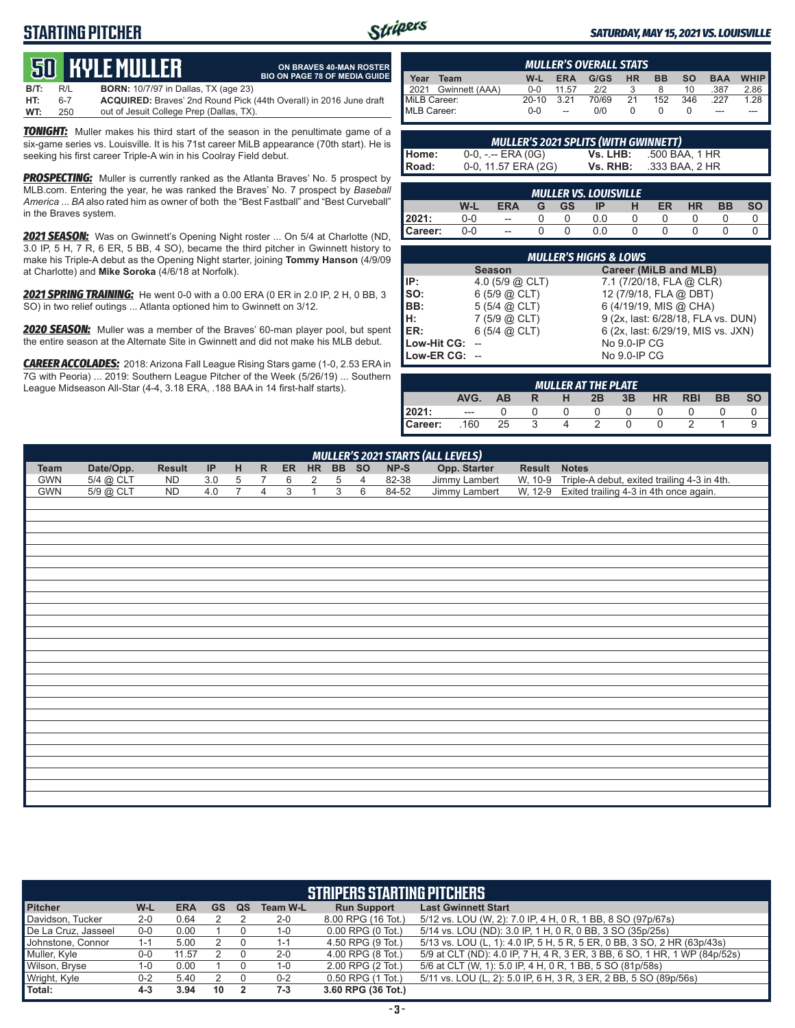## **STARTING PITCHER**



**ON BRAVES 40-MAN ROSTER BIO ON PAGE 78 OF MEDIA GUIDE**

#### *SATURDAY, MAY 15, 2021 VS. LOUISVILLE*

# **50****KYLE MULLER**

**B/T:** R/L **BORN:** 10/7/97 in Dallas, TX (age 23) **HT:** 6-7 **ACQUIRED:** Braves' 2nd Round Pick (44th Overall) in 2016 June draft out of Jesuit College Prep (Dallas, TX).

*TONIGHT:* Muller makes his third start of the season in the penultimate game of a six-game series vs. Louisville. It is his 71st career MiLB appearance (70th start). He is seeking his first career Triple-A win in his Coolray Field debut.

**PROSPECTING:** Muller is currently ranked as the Atlanta Braves' No. 5 prospect by MLB.com. Entering the year, he was ranked the Braves' No. 7 prospect by *Baseball America* ... *BA* also rated him as owner of both the "Best Fastball" and "Best Curveball" in the Braves system.

*2021 SEASON:* Was on Gwinnett's Opening Night roster ... On 5/4 at Charlotte (ND, 3.0 IP, 5 H, 7 R, 6 ER, 5 BB, 4 SO), became the third pitcher in Gwinnett history to make his Triple-A debut as the Opening Night starter, joining **Tommy Hanson** (4/9/09 at Charlotte) and **Mike Soroka** (4/6/18 at Norfolk).

*2021 SPRING TRAINING:* He went 0-0 with a 0.00 ERA (0 ER in 2.0 IP, 2 H, 0 BB, 3 SO) in two relief outings ... Atlanta optioned him to Gwinnett on 3/12.

*2020 SEASON:* Muller was a member of the Braves' 60-man player pool, but spent the entire season at the Alternate Site in Gwinnett and did not make his MLB debut.

*CAREER ACCOLADES:* 2018: Arizona Fall League Rising Stars game (1-0, 2.53 ERA in 7G with Peoria) ... 2019: Southern League Pitcher of the Week (5/26/19) ... Southern League Midseason All-Star (4-4, 3.18 ERA, .188 BAA in 14 first-half starts).

|              | <b>MULLER'S OVERALL STATS</b> |           |                          |            |    |     |           |            |             |  |
|--------------|-------------------------------|-----------|--------------------------|------------|----|-----|-----------|------------|-------------|--|
| Year         | Team                          | W-L       | <b>ERA</b>               | G/GS HR BB |    |     | <b>SO</b> | <b>BAA</b> | <b>WHIP</b> |  |
|              | 2021 Gwinnett (AAA)           | $0 - 0$   | 11.57                    | 2/2        |    | 8   | 10        | .387       | 2.86        |  |
| MiLB Career: |                               | $20 - 10$ | 3.21                     | 70/69      | 21 | 152 | 346       | .227       | 1.28        |  |
| MLB Career:  |                               | $0 - 0$   | $\overline{\phantom{a}}$ | 0/0        |    |     |           |            |             |  |

|              | <b>MULLER'S 2021 SPLITS (WITH GWINNETT)</b> |          |                |
|--------------|---------------------------------------------|----------|----------------|
| Home:        | $0-0, - -$ ERA (0G)                         | Vs. LHB: | .500 BAA. 1 HR |
| <b>Road:</b> | 0-0, 11.57 ERA (2G)                         | Vs. RHB: | .333 BAA, 2 HR |

| 1<br><b>MULLER VS. LOUISVILLE</b> |     |                |   |           |     |  |    |    |    |  |  |  |  |
|-----------------------------------|-----|----------------|---|-----------|-----|--|----|----|----|--|--|--|--|
|                                   | W-L | ERA            | G | <b>GS</b> | 1P  |  | ER | ΗR | BB |  |  |  |  |
| 2021:                             | 0-0 | $-$            |   |           | 0.0 |  |    |    |    |  |  |  |  |
| Career:                           | 0-0 | $\overline{a}$ |   |           | 0.0 |  |    |    |    |  |  |  |  |

|                 | <b>MULLER'S HIGHS &amp; LOWS</b> |                                    |  |  |  |  |  |  |  |  |  |  |  |
|-----------------|----------------------------------|------------------------------------|--|--|--|--|--|--|--|--|--|--|--|
|                 | <b>Season</b>                    | <b>Career (MiLB and MLB)</b>       |  |  |  |  |  |  |  |  |  |  |  |
| l IP:           | 4.0 $(5/9)$ $(2)$ CLT            | 7.1 (7/20/18, FLA @ CLR)           |  |  |  |  |  |  |  |  |  |  |  |
| $\mathsf{Iso}:$ | 6(5/9 @ CLT)                     | 12 (7/9/18, FLA @ DBT)             |  |  |  |  |  |  |  |  |  |  |  |
| BB:             | $5(5/4)$ $\omega$ CLT)           | 6 (4/19/19, MIS @ CHA)             |  |  |  |  |  |  |  |  |  |  |  |
| IH:             | $7(5/9)$ $(2)$ CLT)              | 9 (2x, last: 6/28/18, FLA vs. DUN) |  |  |  |  |  |  |  |  |  |  |  |
| IER:            | $6(5/4)$ $(2)$ CLT)              | 6 (2x, last: 6/29/19, MIS vs. JXN) |  |  |  |  |  |  |  |  |  |  |  |
| Low-Hit CG:     |                                  | No 9.0-IP CG                       |  |  |  |  |  |  |  |  |  |  |  |
| Low-ER CG: --   |                                  | No 9.0-IP CG                       |  |  |  |  |  |  |  |  |  |  |  |

| <b>MULLER AT THE PLATE</b> |       |           |   |   |    |    |           |            |           |    |  |  |  |
|----------------------------|-------|-----------|---|---|----|----|-----------|------------|-----------|----|--|--|--|
|                            | AVG.  | <b>AB</b> | R | н | 2B | 3B | <b>HR</b> | <b>RBI</b> | <b>BB</b> | SΟ |  |  |  |
| 2021:                      | $---$ |           |   |   |    |    |           |            |           |    |  |  |  |
| Career:                    | .160  | 25        |   |   |    |    |           |            |           |    |  |  |  |

| MULLER'S 2021 STARTS (ALL LEVELS) |                                                                                                   |           |     |             |  |  |       |  |    |       |               |  |                                                     |
|-----------------------------------|---------------------------------------------------------------------------------------------------|-----------|-----|-------------|--|--|-------|--|----|-------|---------------|--|-----------------------------------------------------|
| Team                              | NP-S<br>Date/Opp.<br>ER HR BB SO<br>IP HR<br>Opp. Starter<br><b>Result</b><br><b>Result Notes</b> |           |     |             |  |  |       |  |    |       |               |  |                                                     |
| GWN                               | 5/4 @ CLT                                                                                         | <b>ND</b> | 3.0 | $5^{\circ}$ |  |  | 6 2 5 |  |    | 82-38 | Jimmy Lambert |  | W, 10-9 Triple-A debut, exited trailing 4-3 in 4th. |
| <b>GWN</b>                        | 5/9 @ CLT                                                                                         | ND.       | 4 O |             |  |  |       |  | -6 | 84-52 | Jimmy Lambert |  | W, 12-9 Exited trailing 4-3 in 4th once again.      |
|                                   |                                                                                                   |           |     |             |  |  |       |  |    |       |               |  |                                                     |

| <b>STRIPERS STARTING PITCHERS</b> |         |            |           |    |                 |                       |                                                                           |  |  |  |  |  |  |
|-----------------------------------|---------|------------|-----------|----|-----------------|-----------------------|---------------------------------------------------------------------------|--|--|--|--|--|--|
| <b>Pitcher</b>                    | W-L     | <b>ERA</b> | <b>GS</b> | QS | <b>Team W-L</b> | <b>Run Support</b>    | <b>Last Gwinnett Start</b>                                                |  |  |  |  |  |  |
| Davidson, Tucker                  | $2 - 0$ | 0.64       |           |    | $2 - 0$         | 8.00 RPG (16 Tot.)    | 5/12 vs. LOU (W, 2): 7.0 IP, 4 H, 0 R, 1 BB, 8 SO (97p/67s)               |  |  |  |  |  |  |
| De La Cruz, Jasseel               | 0-0     | 0.00       |           |    | $1 - 0$         | $0.00$ RPG $(0$ Tot.) | 5/14 vs. LOU (ND): 3.0 IP, 1 H, 0 R, 0 BB, 3 SO (35p/25s)                 |  |  |  |  |  |  |
| Johnstone, Connor                 | $1 - 1$ | 5.00       |           |    | 1-1             | 4.50 RPG (9 Tot.)     | 5/13 vs. LOU (L, 1): 4.0 IP, 5 H, 5 R, 5 ER, 0 BB, 3 SO, 2 HR (63p/43s)   |  |  |  |  |  |  |
| Muller, Kyle                      | $0-0$   | 11.57      |           |    | $2 - 0$         | 4.00 RPG (8 Tot.)     | 5/9 at CLT (ND): 4.0 IP, 7 H, 4 R, 3 ER, 3 BB, 6 SO, 1 HR, 1 WP (84p/52s) |  |  |  |  |  |  |
| Wilson, Bryse                     | $1 - 0$ | 0.00       |           |    | $1 - 0$         | 2.00 RPG (2 Tot.)     | 5/6 at CLT (W, 1): 5.0 IP, 4 H, 0 R, 1 BB, 5 SO (81p/58s)                 |  |  |  |  |  |  |
| Wright, Kyle                      | $0 - 2$ | 5.40       |           |    | $0 - 2$         | 0.50 RPG (1 Tot.)     | 5/11 vs. LOU (L, 2): 5.0 IP, 6 H, 3 R, 3 ER, 2 BB, 5 SO (89p/56s)         |  |  |  |  |  |  |
| Total:                            | $4 - 3$ | 3.94       | 10        |    | $7-3$           | 3.60 RPG (36 Tot.)    |                                                                           |  |  |  |  |  |  |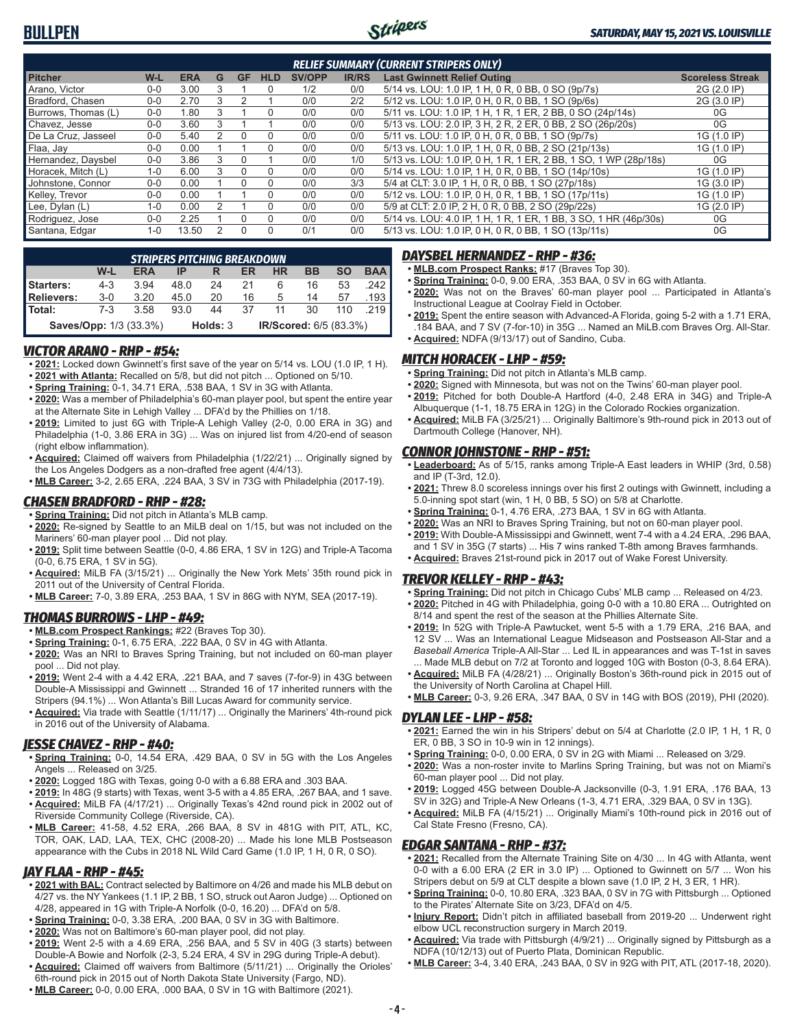

| <b>RELIEF SUMMARY (CURRENT STRIPERS ONLY)</b> |              |            |   |          |              |               |              |                                                                  |                         |  |  |  |  |
|-----------------------------------------------|--------------|------------|---|----------|--------------|---------------|--------------|------------------------------------------------------------------|-------------------------|--|--|--|--|
| <b>Pitcher</b>                                | $W-L$        | <b>ERA</b> | G | GF       | <b>HLD</b>   | <b>SV/OPP</b> | <b>IR/RS</b> | <b>Last Gwinnett Relief Outing</b>                               | <b>Scoreless Streak</b> |  |  |  |  |
| Arano, Victor                                 | $0 - 0$      | 3.00       |   |          | 0            | 1/2           | 0/0          | 5/14 vs. LOU: 1.0 IP, 1 H, 0 R, 0 BB, 0 SO (9p/7s)               | 2G (2.0 IP)             |  |  |  |  |
| Bradford, Chasen                              | $0 - 0$      | 2.70       | ٩ |          |              | 0/0           | 2/2          | 5/12 vs. LOU: 1.0 IP, 0 H, 0 R, 0 BB, 1 SO (9p/6s)               | 2G (3.0 IP)             |  |  |  |  |
| Burrows, Thomas (L)                           | $0 - 0$      | 1.80       |   |          | $\Omega$     | 0/0           | 0/0          | 5/11 vs. LOU: 1.0 IP, 1 H, 1 R, 1 ER, 2 BB, 0 SO (24p/14s)       | 0G                      |  |  |  |  |
| Chavez, Jesse                                 | $0 - 0$      | 3.60       |   |          |              | 0/0           | 0/0          | 5/13 vs. LOU: 2.0 IP, 3 H, 2 R, 2 ER, 0 BB, 2 SO (26p/20s)       | 0G                      |  |  |  |  |
| De La Cruz. Jasseel                           | $0 - 0$      | 5.40       |   | $\Omega$ | 0            | 0/0           | 0/0          | 5/11 vs. LOU: 1.0 IP, 0 H, 0 R, 0 BB, 1 SO (9p/7s)               | 1G (1.0 IP)             |  |  |  |  |
| Flaa, Jay                                     | $0 - 0$      | 0.00       |   |          | $\Omega$     | 0/0           | 0/0          | 5/13 vs. LOU: 1.0 IP, 1 H, 0 R, 0 BB, 2 SO (21p/13s)             | 1G (1.0 IP)             |  |  |  |  |
| Hernandez, Daysbel                            | $0 - 0$      | 3.86       |   |          |              | 0/0           | 1/0          | 5/13 vs. LOU: 1.0 IP, 0 H, 1 R, 1 ER, 2 BB, 1 SO, 1 WP (28p/18s) | 0G                      |  |  |  |  |
| Horacek. Mitch (L)                            | $1 - 0$      | 6.00       | ٩ | $\Omega$ | <sup>n</sup> | 0/0           | 0/0          | 5/14 vs. LOU: 1.0 IP, 1 H, 0 R, 0 BB, 1 SO (14p/10s)             | 1G (1.0 IP)             |  |  |  |  |
| Johnstone, Connor                             | $0 - 0$      | 0.00       |   |          | 0            | 0/0           | 3/3          | 5/4 at CLT: 3.0 IP, 1 H, 0 R, 0 BB, 1 SO (27p/18s)               | 1G (3.0 IP)             |  |  |  |  |
| Kelley, Trevor                                | $0 - 0$      | 0.00       |   |          | $\Omega$     | 0/0           | 0/0          | 5/12 vs. LOU: 1.0 IP, 0 H, 0 R, 1 BB, 1 SO (17p/11s)             | 1G (1.0 IP)             |  |  |  |  |
| Lee, Dylan (L)                                | $1 - \Omega$ | 0.00       |   |          | <sup>n</sup> | 0/0           | 0/0          | 5/9 at CLT: 2.0 IP, 2 H, 0 R, 0 BB, 2 SO (29p/22s)               | 1G (2.0 IP)             |  |  |  |  |
| Rodriguez, Jose                               | $0 - 0$      | 2.25       |   |          | $\Omega$     | 0/0           | 0/0          | 5/14 vs. LOU: 4.0 IP, 1 H, 1 R, 1 ER, 1 BB, 3 SO, 1 HR (46p/30s) | 0G                      |  |  |  |  |
| Santana, Edgar                                | $1 - 0$      | 13.50      |   | $\Omega$ | $\Omega$     | 0/1           | 0/0          | 5/13 vs. LOU: 1.0 IP, 0 H, 0 R, 0 BB, 1 SO (13p/11s)             | 0G                      |  |  |  |  |

|                               | <b>STRIPERS PITCHING BREAKDOWN</b> |            |      |          |    |                        |           |           |            |  |  |  |  |  |
|-------------------------------|------------------------------------|------------|------|----------|----|------------------------|-----------|-----------|------------|--|--|--|--|--|
|                               | W-L                                | <b>ERA</b> | IP   |          | ER | ΗR                     | <b>BB</b> | <b>SO</b> | <b>BAA</b> |  |  |  |  |  |
| Starters:                     | $4 - 3$                            | 3.94       | 48.0 | 24       | 21 | 6                      | 16        | 53        | .242 I     |  |  |  |  |  |
| <b>Relievers:</b>             | $3-0$                              | 3.20       | 45.0 | 20       | 16 | 5                      | 14        | 57        | 193 I      |  |  |  |  |  |
| Total:                        | $7 - 3$                            | 3.58       | 93.0 | 44       | 37 |                        | 30        | 110       |            |  |  |  |  |  |
| <b>Saves/Opp: 1/3 (33.3%)</b> |                                    |            |      | Holds: 3 |    | IR/Scored: 6/5 (83.3%) |           |           |            |  |  |  |  |  |

### *VICTOR ARANO - RHP - #54:*

- **• 2021:** Locked down Gwinnett's first save of the year on 5/14 vs. LOU (1.0 IP, 1 H). **• 2021 with Atlanta:** Recalled on 5/8, but did not pitch ... Optioned on 5/10.
- **• Spring Training:** 0-1, 34.71 ERA, .538 BAA, 1 SV in 3G with Atlanta.
- **• 2020:** Was a member of Philadelphia's 60-man player pool, but spent the entire year at the Alternate Site in Lehigh Valley ... DFA'd by the Phillies on 1/18.
- **• 2019:** Limited to just 6G with Triple-A Lehigh Valley (2-0, 0.00 ERA in 3G) and Philadelphia (1-0, 3.86 ERA in 3G) ... Was on injured list from 4/20-end of season (right elbow inflammation).
- **• Acquired:** Claimed off waivers from Philadelphia (1/22/21) ... Originally signed by the Los Angeles Dodgers as a non-drafted free agent (4/4/13).
- **• MLB Career:** 3-2, 2.65 ERA, .224 BAA, 3 SV in 73G with Philadelphia (2017-19).

### *CHASEN BRADFORD - RHP - #28:*

- **• Spring Training:** Did not pitch in Atlanta's MLB camp.
- **• 2020:** Re-signed by Seattle to an MiLB deal on 1/15, but was not included on the Mariners' 60-man player pool ... Did not play.
- **• 2019:** Split time between Seattle (0-0, 4.86 ERA, 1 SV in 12G) and Triple-A Tacoma (0-0, 6.75 ERA, 1 SV in 5G).
- **• Acquired:** MiLB FA (3/15/21) ... Originally the New York Mets' 35th round pick in 2011 out of the University of Central Florida.
- **• MLB Career:** 7-0, 3.89 ERA, .253 BAA, 1 SV in 86G with NYM, SEA (2017-19).

#### *THOMAS BURROWS - LHP - #49:*

- **• MLB.com Prospect Rankings:** #22 (Braves Top 30).
- **• Spring Training:** 0-1, 6.75 ERA, .222 BAA, 0 SV in 4G with Atlanta.
- **• 2020:** Was an NRI to Braves Spring Training, but not included on 60-man player pool ... Did not play.
- **• 2019:** Went 2-4 with a 4.42 ERA, .221 BAA, and 7 saves (7-for-9) in 43G between Double-A Mississippi and Gwinnett ... Stranded 16 of 17 inherited runners with the Stripers (94.1%) ... Won Atlanta's Bill Lucas Award for community service.
- **• Acquired:** Via trade with Seattle (1/11/17) ... Originally the Mariners' 4th-round pick in 2016 out of the University of Alabama.

#### *JESSE CHAVEZ - RHP - #40:*

- **• Spring Training:** 0-0, 14.54 ERA, .429 BAA, 0 SV in 5G with the Los Angeles Angels ... Released on 3/25.
- **• 2020:** Logged 18G with Texas, going 0-0 with a 6.88 ERA and .303 BAA.
- **• 2019:** In 48G (9 starts) with Texas, went 3-5 with a 4.85 ERA, .267 BAA, and 1 save.
- **• Acquired:** MiLB FA (4/17/21) ... Originally Texas's 42nd round pick in 2002 out of Riverside Community College (Riverside, CA).
- **• MLB Career:** 41-58, 4.52 ERA, .266 BAA, 8 SV in 481G with PIT, ATL, KC, TOR, OAK, LAD, LAA, TEX, CHC (2008-20) ... Made his lone MLB Postseason appearance with the Cubs in 2018 NL Wild Card Game (1.0 IP, 1 H, 0 R, 0 SO).

### *JAY FLAA - RHP - #45:*

- **• 2021 with BAL:** Contract selected by Baltimore on 4/26 and made his MLB debut on 4/27 vs. the NY Yankees (1.1 IP, 2 BB, 1 SO, struck out Aaron Judge) ... Optioned on 4/28, appeared in 1G with Triple-A Norfolk (0-0, 16.20) ... DFA'd on 5/8.
- **• Spring Training:** 0-0, 3.38 ERA, .200 BAA, 0 SV in 3G with Baltimore.
- **• 2020:** Was not on Baltimore's 60-man player pool, did not play.
- **• 2019:** Went 2-5 with a 4.69 ERA, .256 BAA, and 5 SV in 40G (3 starts) between Double-A Bowie and Norfolk (2-3, 5.24 ERA, 4 SV in 29G during Triple-A debut).
- **• Acquired:** Claimed off waivers from Baltimore (5/11/21) ... Originally the Orioles' 6th-round pick in 2015 out of North Dakota State University (Fargo, ND).
- **• MLB Career:** 0-0, 0.00 ERA, .000 BAA, 0 SV in 1G with Baltimore (2021).

## *DAYSBEL HERNANDEZ - RHP - #36:*

- **• MLB.com Prospect Ranks:** #17 (Braves Top 30).
- **• Spring Training:** 0-0, 9.00 ERA, .353 BAA, 0 SV in 6G with Atlanta.
- **• 2020:** Was not on the Braves' 60-man player pool ... Participated in Atlanta's Instructional League at Coolray Field in October.
- **• 2019:** Spent the entire season with Advanced-A Florida, going 5-2 with a 1.71 ERA, .184 BAA, and 7 SV (7-for-10) in 35G ... Named an MiLB.com Braves Org. All-Star. **• Acquired:** NDFA (9/13/17) out of Sandino, Cuba.

#### *MITCH HORACEK - LHP - #59:*

- **• Spring Training:** Did not pitch in Atlanta's MLB camp.
- **• 2020:** Signed with Minnesota, but was not on the Twins' 60-man player pool.
- **• 2019:** Pitched for both Double-A Hartford (4-0, 2.48 ERA in 34G) and Triple-A
- Albuquerque (1-1, 18.75 ERA in 12G) in the Colorado Rockies organization. **• Acquired:** MiLB FA (3/25/21) ... Originally Baltimore's 9th-round pick in 2013 out of Dartmouth College (Hanover, NH).

#### *CONNOR JOHNSTONE - RHP - #51:*

- **• Leaderboard:** As of 5/15, ranks among Triple-A East leaders in WHIP (3rd, 0.58) and IP (T-3rd, 12.0).
- **• 2021:** Threw 8.0 scoreless innings over his first 2 outings with Gwinnett, including a 5.0-inning spot start (win, 1 H, 0 BB, 5 SO) on 5/8 at Charlotte.
- **• Spring Training:** 0-1, 4.76 ERA, .273 BAA, 1 SV in 6G with Atlanta.
- **• 2020:** Was an NRI to Braves Spring Training, but not on 60-man player pool.
- **• 2019:** With Double-A Mississippi and Gwinnett, went 7-4 with a 4.24 ERA, .296 BAA, and 1 SV in 35G (7 starts) ... His 7 wins ranked T-8th among Braves farmhands. **• Acquired:** Braves 21st-round pick in 2017 out of Wake Forest University.

### *TREVOR KELLEY - RHP - #43:*

- **• Spring Training:** Did not pitch in Chicago Cubs' MLB camp ... Released on 4/23. **• 2020:** Pitched in 4G with Philadelphia, going 0-0 with a 10.80 ERA ... Outrighted on
- 8/14 and spent the rest of the season at the Phillies Alternate Site. **• 2019:** In 52G with Triple-A Pawtucket, went 5-5 with a 1.79 ERA, .216 BAA, and 12 SV ... Was an International League Midseason and Postseason All-Star and a
- *Baseball America* Triple-A All-Star ... Led IL in appearances and was T-1st in saves Made MLB debut on 7/2 at Toronto and logged 10G with Boston (0-3, 8.64 ERA). **• Acquired:** MiLB FA (4/28/21) ... Originally Boston's 36th-round pick in 2015 out of
	- the University of North Carolina at Chapel Hill.

## **• MLB Career:** 0-3, 9.26 ERA, .347 BAA, 0 SV in 14G with BOS (2019), PHI (2020).

#### *DYLAN LEE - LHP - #58:*

- **• 2021:** Earned the win in his Stripers' debut on 5/4 at Charlotte (2.0 IP, 1 H, 1 R, 0 ER, 0 BB, 3 SO in 10-9 win in 12 innings).
- **• Spring Training:** 0-0, 0.00 ERA, 0 SV in 2G with Miami ... Released on 3/29.
- **• 2020:** Was a non-roster invite to Marlins Spring Training, but was not on Miami's 60-man player pool ... Did not play.
- **• 2019:** Logged 45G between Double-A Jacksonville (0-3, 1.91 ERA, .176 BAA, 13 SV in 32G) and Triple-A New Orleans (1-3, 4.71 ERA, .329 BAA, 0 SV in 13G).
- **• Acquired:** MiLB FA (4/15/21) ... Originally Miami's 10th-round pick in 2016 out of Cal State Fresno (Fresno, CA).

#### *EDGAR SANTANA - RHP - #37:*

- **• 2021:** Recalled from the Alternate Training Site on 4/30 ... In 4G with Atlanta, went 0-0 with a 6.00 ERA (2 ER in 3.0 IP) ... Optioned to Gwinnett on 5/7 ... Won his Stripers debut on 5/9 at CLT despite a blown save (1.0 IP, 2 H, 3 ER, 1 HR).
- **• Spring Training:** 0-0, 10.80 ERA, .323 BAA, 0 SV in 7G with Pittsburgh ... Optioned to the Pirates' Alternate Site on 3/23, DFA'd on 4/5.
- **• Injury Report:** Didn't pitch in affiliated baseball from 2019-20 ... Underwent right elbow UCL reconstruction surgery in March 2019.
- **• Acquired:** Via trade with Pittsburgh (4/9/21) ... Originally signed by Pittsburgh as a NDFA (10/12/13) out of Puerto Plata, Dominican Republic.
- **• MLB Career:** 3-4, 3.40 ERA, .243 BAA, 0 SV in 92G with PIT, ATL (2017-18, 2020).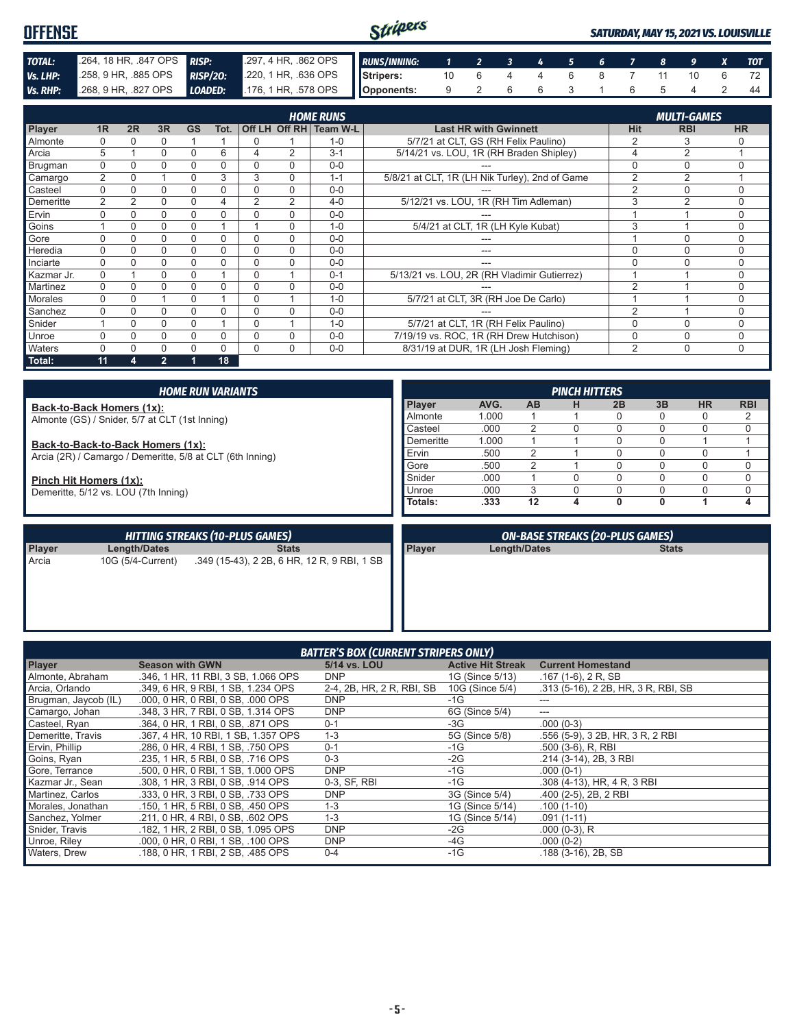| <b>OFFENSE</b>  |                                    |  | Stripers                                               |  |                        |  |  |  |  | <b>SATURDAY, MAY 15, 2021 VS. LOUISVILLE</b> |  |  |  |  |    |
|-----------------|------------------------------------|--|--------------------------------------------------------|--|------------------------|--|--|--|--|----------------------------------------------|--|--|--|--|----|
| TOTAL:          | 264, 18 HR, 847 OPS <b>RISP:</b>   |  | 297,4 HR, 862 OPS RUNS/INNING: 1 2 3 4 5 6 7 8 9 X TOT |  |                        |  |  |  |  |                                              |  |  |  |  |    |
| Vs. LHP:        | 258, 9 HR, 885 OPS <b>RISP/20:</b> |  | 220, 1 HR, .636 OPS Stripers:                          |  | 10 6 4 4 6 8 7 11 10 6 |  |  |  |  |                                              |  |  |  |  |    |
| <b>Vs. RHP:</b> | $268, 9$ HR, 827 OPS               |  | <b>LOADED:</b> .176, 1 HR, .578 OPS <b>Opponents:</b>  |  | 9 2 6 6 3 1 6 5 4      |  |  |  |  |                                              |  |  |  |  | 44 |

|            |                |    |                |           |      |                |          | <b>HOME RUNS</b>       |                                                |                | <b>MULTI-GAMES</b> |           |
|------------|----------------|----|----------------|-----------|------|----------------|----------|------------------------|------------------------------------------------|----------------|--------------------|-----------|
| Player     | 1R             | 2R | 3R             | <b>GS</b> | Tot. |                |          | Off LH Off RH Team W-L | <b>Last HR with Gwinnett</b>                   | <b>Hit</b>     | <b>RBI</b>         | <b>HR</b> |
| Almonte    |                |    | 0              |           |      | 0              |          | $1 - 0$                | 5/7/21 at CLT, GS (RH Felix Paulino)           |                | 3                  |           |
| Arcia      | 5              |    | 0              | 0         | 6    | 4              | 2        | $3 - 1$                | 5/14/21 vs. LOU, 1R (RH Braden Shipley)        | 4              | $\overline{2}$     |           |
| Brugman    | 0              |    | 0              | 0         | 0    | 0              | $\Omega$ | $0 - 0$                |                                                | 0              | $\Omega$           | $\Omega$  |
| Camargo    | $\overline{2}$ |    |                | 0         | 3    | 3              | $\Omega$ | $1 - 1$                | 5/8/21 at CLT, 1R (LH Nik Turley), 2nd of Game | $\overline{2}$ | $\overline{2}$     |           |
| Casteel    | $\Omega$       |    | 0              |           |      | 0              | $\Omega$ | $0 - 0$                |                                                | $\overline{2}$ | $\Omega$           | $\Omega$  |
| Demeritte  | 2              | 2  | 0              | 0         | 4    | $\overline{2}$ | 2        | $4 - 0$                | 5/12/21 vs. LOU, 1R (RH Tim Adleman)           | 3              | $\overline{2}$     | $\Omega$  |
| Ervin      |                |    | 0              | 0         |      | 0              | $\Omega$ | $0 - 0$                | ---                                            |                |                    | $\Omega$  |
| Goins      |                |    | 0              |           |      |                | 0        | $1 - 0$                | 5/4/21 at CLT, 1R (LH Kyle Kubat)              | 3              |                    | 0         |
| Gore       |                |    | 0              | 0         | 0    | $\Omega$       | $\Omega$ | $0 - 0$                |                                                |                | $\Omega$           | $\Omega$  |
| Heredia    | $\Omega$       | 0  | 0              | 0         |      | $\Omega$       | $\Omega$ | $0 - 0$                | ---                                            | 0              | $\Omega$           | $\Omega$  |
| Inciarte   | $\Omega$       |    | 0              | 0         | 0    | $\Omega$       | $\Omega$ | $0 - 0$                | ---                                            | 0              |                    | $\Omega$  |
| Kazmar Jr. | $\Omega$       |    | 0              |           |      | $\Omega$       |          | $0 - 1$                | 5/13/21 vs. LOU, 2R (RH Vladimir Gutierrez)    |                |                    | $\Omega$  |
| Martinez   | 0              |    | 0              | 0         | 0    | $\Omega$       | $\Omega$ | $0 - 0$                |                                                | $\overline{2}$ |                    | $\Omega$  |
| Morales    | $\Omega$       | 0  |                | 0         |      | $\Omega$       |          | $1 - 0$                | 5/7/21 at CLT, 3R (RH Joe De Carlo)            |                |                    | $\Omega$  |
| Sanchez    |                |    | 0              |           |      | $\Omega$       | $\Omega$ | $0 - 0$                |                                                | $\mathfrak{p}$ |                    | $\Omega$  |
| Snider     |                | 0  | 0              | $\Omega$  |      | $\Omega$       |          | $1 - 0$                | 5/7/21 at CLT, 1R (RH Felix Paulino)           | 0              | $\Omega$           | $\Omega$  |
| Unroe      | U              | O  | 0              | 0         | ი    | $\Omega$       | $\Omega$ | $0 - 0$                | 7/19/19 vs. ROC, 1R (RH Drew Hutchison)        | 0              | $\Omega$           | $\Omega$  |
| Waters     |                |    | 0              | 0         | 0    | 0              | 0        | $0 - 0$                | 8/31/19 at DUR, 1R (LH Josh Fleming)           | 2              | $\Omega$           | $\Omega$  |
| Total:     | 11             | 4  | $\overline{2}$ |           | 18   |                |          |                        |                                                |                |                    |           |

| <b>HOME RUN VARIANTS</b>                                  |               |       |           | <b>PINCH HITTERS</b> |    |    |           |            |
|-----------------------------------------------------------|---------------|-------|-----------|----------------------|----|----|-----------|------------|
| Back-to-Back Homers (1x):                                 | <b>Player</b> | AVG.  | <b>AB</b> | н                    | 2B | 3B | <b>HR</b> | <b>RBI</b> |
| Almonte (GS) / Snider, 5/7 at CLT (1st Inning)            | Almonte       | 1.000 |           |                      |    | 0  | 0         | ∠          |
|                                                           | Casteel       | .000  |           |                      |    |    |           |            |
| Back-to-Back-to-Back Homers (1x):                         | Demeritte     | 1.000 |           |                      |    |    |           |            |
| Arcia (2R) / Camargo / Demeritte, 5/8 at CLT (6th Inning) | Ervin         | .500  |           |                      |    |    |           |            |
|                                                           | Gore          | .500  |           |                      |    | N  |           |            |
| Pinch Hit Homers (1x):                                    | Snider        | .000  |           |                      |    |    |           |            |
| Demeritte, 5/12 vs. LOU (7th Inning)                      | Unroe         | .000. |           |                      |    |    |           |            |
|                                                           | Totals:       | .333  | 12        |                      | 0  | 0  |           | 4          |
|                                                           |               |       |           |                      |    |    |           |            |

| HITTING STREAKS (10-PLUS GAMES) |                   |                                             |               | <b>ON-BASE STREAKS (20-PLUS GAMES)</b> |              |
|---------------------------------|-------------------|---------------------------------------------|---------------|----------------------------------------|--------------|
| Player                          | Length/Dates      | <b>Stats</b>                                | <b>Player</b> | Length/Dates                           | <b>Stats</b> |
| Arcia                           | 10G (5/4-Current) | .349 (15-43), 2 2B, 6 HR, 12 R, 9 RBI, 1 SB |               |                                        |              |

ı

| <b>BATTER'S BOX (CURRENT STRIPERS ONLY)</b> |                                     |                           |                          |                                     |
|---------------------------------------------|-------------------------------------|---------------------------|--------------------------|-------------------------------------|
| <b>Player</b>                               | <b>Season with GWN</b>              | 5/14 vs. LOU              | <b>Active Hit Streak</b> | <b>Current Homestand</b>            |
| Almonte, Abraham                            | .346, 1 HR, 11 RBI, 3 SB, 1.066 OPS | <b>DNP</b>                | 1G (Since 5/13)          | $.167(1-6)$ , 2 R, SB               |
| Arcia, Orlando                              | .349, 6 HR, 9 RBI, 1 SB, 1.234 OPS  | 2-4, 2B, HR, 2 R, RBI, SB | 10G (Since 5/4)          | .313 (5-16), 2 2B, HR, 3 R, RBI, SB |
| Brugman, Jaycob (IL)                        | .000, 0 HR, 0 RBI, 0 SB, .000 OPS   | <b>DNP</b>                | $-1G$                    | ---                                 |
| Camargo, Johan                              | .348, 3 HR, 7 RBI, 0 SB, 1.314 OPS  | <b>DNP</b>                | 6G (Since 5/4)           | $--$                                |
| Casteel, Ryan                               | .364.0 HR. 1 RBI. 0 SB. .871 OPS    | $0 - 1$                   | $-3G$                    | $.000(0-3)$                         |
| Demeritte, Travis                           | .367, 4 HR, 10 RBI, 1 SB, 1.357 OPS | $1 - 3$                   | 5G (Since 5/8)           | .556 (5-9), 3 2B, HR, 3 R, 2 RBI    |
| Ervin, Phillip                              | .286, 0 HR, 4 RBI, 1 SB, .750 OPS   | $0 - 1$                   | $-1G$                    | $.500(3-6)$ , R, RBI                |
| Goins, Ryan                                 | .235, 1 HR, 5 RBI, 0 SB, .716 OPS   | $0 - 3$                   | $-2G$                    | .214 (3-14), 2B, 3 RBI              |
| Gore, Terrance                              | .500, 0 HR, 0 RBI, 1 SB, 1,000 OPS  | <b>DNP</b>                | $-1G$                    | $.000(0-1)$                         |
| Kazmar Jr., Sean                            | .308, 1 HR, 3 RBI, 0 SB, .914 OPS   | 0-3, SF, RBI              | $-1G$                    | .308 (4-13), HR, 4 R, 3 RBI         |
| Martinez, Carlos                            | .333, 0 HR, 3 RBI, 0 SB, .733 OPS   | <b>DNP</b>                | 3G (Since 5/4)           | .400 (2-5), 2B, 2 RBI               |
| Morales, Jonathan                           | .150, 1 HR, 5 RBI, 0 SB, .450 OPS   | $1 - 3$                   | 1G (Since 5/14)          | $.100(1-10)$                        |
| Sanchez, Yolmer                             | .211, 0 HR, 4 RBI, 0 SB, .602 OPS   | $1 - 3$                   | 1G (Since 5/14)          | $.091(1-11)$                        |
| Snider, Travis                              | .182, 1 HR, 2 RBI, 0 SB, 1.095 OPS  | <b>DNP</b>                | $-2G$                    | $.000(0-3)$ , R                     |
| Unroe, Riley                                | .000, 0 HR, 0 RBI, 1 SB, .100 OPS   | <b>DNP</b>                | $-4G$                    | $.000(0-2)$                         |
| <b>Waters, Drew</b>                         | .188, 0 HR, 1 RBI, 2 SB, .485 OPS   | $0 - 4$                   | $-1G$                    | $.188(3-16)$ , 2B, SB               |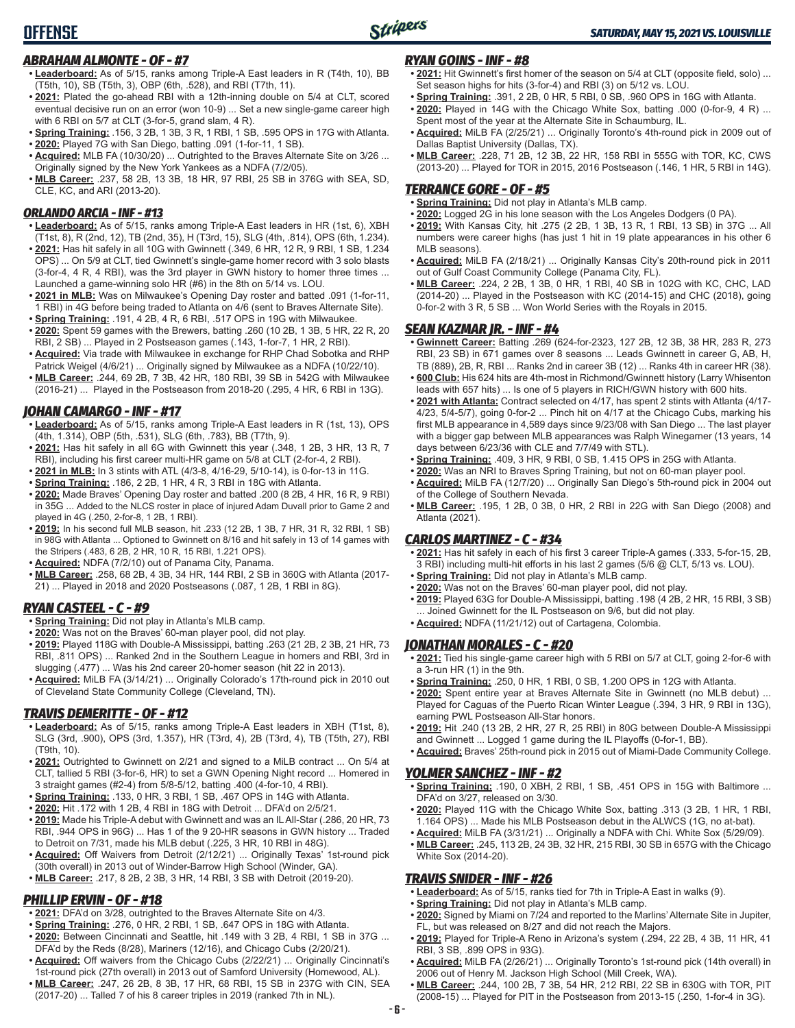## *ABRAHAM ALMONTE - OF - #7*

- **• Leaderboard:** As of 5/15, ranks among Triple-A East leaders in R (T4th, 10), BB (T5th, 10), SB (T5th, 3), OBP (6th, .528), and RBI (T7th, 11).
- **• 2021:** Plated the go-ahead RBI with a 12th-inning double on 5/4 at CLT, scored eventual decisive run on an error (won 10-9) ... Set a new single-game career high with 6 RBI on 5/7 at CLT (3-for-5, grand slam, 4 R).
- **• Spring Training:** .156, 3 2B, 1 3B, 3 R, 1 RBI, 1 SB, .595 OPS in 17G with Atlanta.
- **• 2020:** Played 7G with San Diego, batting .091 (1-for-11, 1 SB).
- **• Acquired:** MLB FA (10/30/20) ... Outrighted to the Braves Alternate Site on 3/26 ... Originally signed by the New York Yankees as a NDFA (7/2/05).
- **• MLB Career:** .237, 58 2B, 13 3B, 18 HR, 97 RBI, 25 SB in 376G with SEA, SD, CLE, KC, and ARI (2013-20).

### *ORLANDO ARCIA - INF - #13*

- **• Leaderboard:** As of 5/15, ranks among Triple-A East leaders in HR (1st, 6), XBH (T1st, 8), R (2nd, 12), TB (2nd, 35), H (T3rd, 15), SLG (4th, .814), OPS (6th, 1.234).
- **• 2021:** Has hit safely in all 10G with Gwinnett (.349, 6 HR, 12 R, 9 RBI, 1 SB, 1.234 OPS) ... On 5/9 at CLT, tied Gwinnett's single-game homer record with 3 solo blasts (3-for-4, 4 R, 4 RBI), was the 3rd player in GWN history to homer three times ... Launched a game-winning solo HR (#6) in the 8th on 5/14 vs. LOU.
- **• 2021 in MLB:** Was on Milwaukee's Opening Day roster and batted .091 (1-for-11, 1 RBI) in 4G before being traded to Atlanta on 4/6 (sent to Braves Alternate Site). **• Spring Training:** .191, 4 2B, 4 R, 6 RBI, .517 OPS in 19G with Milwaukee.
- **• 2020:** Spent 59 games with the Brewers, batting .260 (10 2B, 1 3B, 5 HR, 22 R, 20 RBI, 2 SB) ... Played in 2 Postseason games (.143, 1-for-7, 1 HR, 2 RBI).
- **• Acquired:** Via trade with Milwaukee in exchange for RHP Chad Sobotka and RHP Patrick Weigel (4/6/21) ... Originally signed by Milwaukee as a NDFA (10/22/10).
- **• MLB Career:** .244, 69 2B, 7 3B, 42 HR, 180 RBI, 39 SB in 542G with Milwaukee (2016-21) ... Played in the Postseason from 2018-20 (.295, 4 HR, 6 RBI in 13G).

## *JOHAN CAMARGO - INF - #17*

- **• Leaderboard:** As of 5/15, ranks among Triple-A East leaders in R (1st, 13), OPS (4th, 1.314), OBP (5th, .531), SLG (6th, .783), BB (T7th, 9).
- **• 2021:** Has hit safely in all 6G with Gwinnett this year (.348, 1 2B, 3 HR, 13 R, 7 RBI), including his first career multi-HR game on 5/8 at CLT (2-for-4, 2 RBI).
- **• 2021 in MLB:** In 3 stints with ATL (4/3-8, 4/16-29, 5/10-14), is 0-for-13 in 11G.
- **• Spring Training:** .186, 2 2B, 1 HR, 4 R, 3 RBI in 18G with Atlanta.
- **• 2020:** Made Braves' Opening Day roster and batted .200 (8 2B, 4 HR, 16 R, 9 RBI) in 35G ... Added to the NLCS roster in place of injured Adam Duvall prior to Game 2 and played in 4G (.250, 2-for-8, 1 2B, 1 RBI).
- **• 2019:** In his second full MLB season, hit .233 (12 2B, 1 3B, 7 HR, 31 R, 32 RBI, 1 SB) in 98G with Atlanta ... Optioned to Gwinnett on 8/16 and hit safely in 13 of 14 games with the Stripers (.483, 6 2B, 2 HR, 10 R, 15 RBI, 1.221 OPS).
- **• Acquired:** NDFA (7/2/10) out of Panama City, Panama.
- **• MLB Career:** .258, 68 2B, 4 3B, 34 HR, 144 RBI, 2 SB in 360G with Atlanta (2017- 21) ... Played in 2018 and 2020 Postseasons (.087, 1 2B, 1 RBI in 8G).

## *RYAN CASTEEL - C - #9*

- **• Spring Training:** Did not play in Atlanta's MLB camp.
- **• 2020:** Was not on the Braves' 60-man player pool, did not play.
- **• 2019:** Played 118G with Double-A Mississippi, batting .263 (21 2B, 2 3B, 21 HR, 73 RBI, .811 OPS) ... Ranked 2nd in the Southern League in homers and RBI, 3rd in slugging (.477) ... Was his 2nd career 20-homer season (hit 22 in 2013).
- **• Acquired:** MiLB FA (3/14/21) ... Originally Colorado's 17th-round pick in 2010 out of Cleveland State Community College (Cleveland, TN).

## *TRAVIS DEMERITTE - OF - #12*

- **• Leaderboard:** As of 5/15, ranks among Triple-A East leaders in XBH (T1st, 8), SLG (3rd, .900), OPS (3rd, 1.357), HR (T3rd, 4), 2B (T3rd, 4), TB (T5th, 27), RBI (T9th, 10).
- **• 2021:** Outrighted to Gwinnett on 2/21 and signed to a MiLB contract ... On 5/4 at CLT, tallied 5 RBI (3-for-6, HR) to set a GWN Opening Night record ... Homered in 3 straight games (#2-4) from 5/8-5/12, batting .400 (4-for-10, 4 RBI).
- **• Spring Training:** .133, 0 HR, 3 RBI, 1 SB, .467 OPS in 14G with Atlanta.
- **• 2020:** Hit .172 with 1 2B, 4 RBI in 18G with Detroit ... DFA'd on 2/5/21.
- **• 2019:** Made his Triple-A debut with Gwinnett and was an IL All-Star (.286, 20 HR, 73 RBI, .944 OPS in 96G) ... Has 1 of the 9 20-HR seasons in GWN history ... Traded to Detroit on 7/31, made his MLB debut (.225, 3 HR, 10 RBI in 48G).
- **• Acquired:** Off Waivers from Detroit (2/12/21) ... Originally Texas' 1st-round pick (30th overall) in 2013 out of Winder-Barrow High School (Winder, GA).
- **• MLB Career:** .217, 8 2B, 2 3B, 3 HR, 14 RBI, 3 SB with Detroit (2019-20).

## *PHILLIP ERVIN - OF - #18*

- **• 2021:** DFA'd on 3/28, outrighted to the Braves Alternate Site on 4/3.
- **• Spring Training:** .276, 0 HR, 2 RBI, 1 SB, .647 OPS in 18G with Atlanta.
- **• 2020:** Between Cincinnati and Seattle, hit .149 with 3 2B, 4 RBI, 1 SB in 37G ... DFA'd by the Reds (8/28), Mariners (12/16), and Chicago Cubs (2/20/21).
- **• Acquired:** Off waivers from the Chicago Cubs (2/22/21) ... Originally Cincinnati's 1st-round pick (27th overall) in 2013 out of Samford University (Homewood, AL).
- **• MLB Career:** .247, 26 2B, 8 3B, 17 HR, 68 RBI, 15 SB in 237G with CIN, SEA (2017-20) ... Talled 7 of his 8 career triples in 2019 (ranked 7th in NL).

### *RYAN GOINS - INF - #8*

- **• 2021:** Hit Gwinnett's first homer of the season on 5/4 at CLT (opposite field, solo) ... Set season highs for hits (3-for-4) and RBI (3) on 5/12 vs. LOU.
- **• Spring Training:** .391, 2 2B, 0 HR, 5 RBI, 0 SB, .960 OPS in 16G with Atlanta.
- **• 2020:** Played in 14G with the Chicago White Sox, batting .000 (0-for-9, 4 R) ... Spent most of the year at the Alternate Site in Schaumburg, IL.
- **• Acquired:** MiLB FA (2/25/21) ... Originally Toronto's 4th-round pick in 2009 out of Dallas Baptist University (Dallas, TX).
- **• MLB Career:** .228, 71 2B, 12 3B, 22 HR, 158 RBI in 555G with TOR, KC, CWS (2013-20) ... Played for TOR in 2015, 2016 Postseason (.146, 1 HR, 5 RBI in 14G).

## *TERRANCE GORE - OF - #5*

- **• Spring Training:** Did not play in Atlanta's MLB camp.
- **• 2020:** Logged 2G in his lone season with the Los Angeles Dodgers (0 PA).
- **• 2019:** With Kansas City, hit .275 (2 2B, 1 3B, 13 R, 1 RBI, 13 SB) in 37G ... All numbers were career highs (has just 1 hit in 19 plate appearances in his other 6 MLB seasons).
- **• Acquired:** MiLB FA (2/18/21) ... Originally Kansas City's 20th-round pick in 2011 out of Gulf Coast Community College (Panama City, FL).
- **• MLB Career:** .224, 2 2B, 1 3B, 0 HR, 1 RBI, 40 SB in 102G with KC, CHC, LAD (2014-20) ... Played in the Postseason with KC (2014-15) and CHC (2018), going 0-for-2 with 3 R, 5 SB ... Won World Series with the Royals in 2015.

## *SEAN KAZMAR JR. - INF - #4*

- **• Gwinnett Career:** Batting .269 (624-for-2323, 127 2B, 12 3B, 38 HR, 283 R, 273 RBI, 23 SB) in 671 games over 8 seasons ... Leads Gwinnett in career G, AB, H, TB (889), 2B, R, RBI ... Ranks 2nd in career 3B (12) ... Ranks 4th in career HR (38).
- **• 600 Club:** His 624 hits are 4th-most in Richmond/Gwinnett history (Larry Whisenton leads with 657 hits) ... Is one of 5 players in RICH/GWN history with 600 hits.
- **• 2021 with Atlanta:** Contract selected on 4/17, has spent 2 stints with Atlanta (4/17- 4/23, 5/4-5/7), going 0-for-2 ... Pinch hit on 4/17 at the Chicago Cubs, marking his first MLB appearance in 4,589 days since 9/23/08 with San Diego ... The last player with a bigger gap between MLB appearances was Ralph Winegarner (13 years, 14 days between 6/23/36 with CLE and 7/7/49 with STL).
- **• Spring Training:** .409, 3 HR, 9 RBI, 0 SB, 1.415 OPS in 25G with Atlanta.
- **• 2020:** Was an NRI to Braves Spring Training, but not on 60-man player pool. **• Acquired:** MiLB FA (12/7/20) ... Originally San Diego's 5th-round pick in 2004 out
- of the College of Southern Nevada. **• MLB Career:** .195, 1 2B, 0 3B, 0 HR, 2 RBI in 22G with San Diego (2008) and Atlanta (2021).

#### *CARLOS MARTINEZ - C - #34*

- **• 2021:** Has hit safely in each of his first 3 career Triple-A games (.333, 5-for-15, 2B, 3 RBI) including multi-hit efforts in his last 2 games (5/6 @ CLT, 5/13 vs. LOU).
- **• Spring Training:** Did not play in Atlanta's MLB camp.
- **• 2020:** Was not on the Braves' 60-man player pool, did not play.
- **• 2019:** Played 63G for Double-A Mississippi, batting .198 (4 2B, 2 HR, 15 RBI, 3 SB) Joined Gwinnett for the IL Postseason on 9/6, but did not play.
- **• Acquired:** NDFA (11/21/12) out of Cartagena, Colombia.

### *JONATHAN MORALES - C - #20*

- **• 2021:** Tied his single-game career high with 5 RBI on 5/7 at CLT, going 2-for-6 with a 3-run HR (1) in the 9th.
- **• Spring Training:** .250, 0 HR, 1 RBI, 0 SB, 1.200 OPS in 12G with Atlanta.
- **• 2020:** Spent entire year at Braves Alternate Site in Gwinnett (no MLB debut) ... Played for Caguas of the Puerto Rican Winter League (.394, 3 HR, 9 RBI in 13G), earning PWL Postseason All-Star honors.
- **• 2019:** Hit .240 (13 2B, 2 HR, 27 R, 25 RBI) in 80G between Double-A Mississippi and Gwinnett ... Logged 1 game during the IL Playoffs (0-for-1, BB).
- **• Acquired:** Braves' 25th-round pick in 2015 out of Miami-Dade Community College.

#### *YOLMER SANCHEZ - INF - #2*

- **• Spring Training:** .190, 0 XBH, 2 RBI, 1 SB, .451 OPS in 15G with Baltimore ... DFA'd on 3/27, released on 3/30.
- **• 2020:** Played 11G with the Chicago White Sox, batting .313 (3 2B, 1 HR, 1 RBI, 1.164 OPS) ... Made his MLB Postseason debut in the ALWCS (1G, no at-bat).
- **• Acquired:** MiLB FA (3/31/21) ... Originally a NDFA with Chi. White Sox (5/29/09). **• MLB Career:** .245, 113 2B, 24 3B, 32 HR, 215 RBI, 30 SB in 657G with the Chicago White Sox (2014-20).

### *TRAVIS SNIDER - INF - #26*

- **• Leaderboard:** As of 5/15, ranks tied for 7th in Triple-A East in walks (9).
- **• Spring Training:** Did not play in Atlanta's MLB camp.
- **• 2020:** Signed by Miami on 7/24 and reported to the Marlins' Alternate Site in Jupiter, FL, but was released on 8/27 and did not reach the Majors.
- **• 2019:** Played for Triple-A Reno in Arizona's system (.294, 22 2B, 4 3B, 11 HR, 41 RBI, 3 SB, .899 OPS in 93G).
- **• Acquired:** MiLB FA (2/26/21) ... Originally Toronto's 1st-round pick (14th overall) in 2006 out of Henry M. Jackson High School (Mill Creek, WA).
- **• MLB Career:** .244, 100 2B, 7 3B, 54 HR, 212 RBI, 22 SB in 630G with TOR, PIT (2008-15) ... Played for PIT in the Postseason from 2013-15 (.250, 1-for-4 in 3G).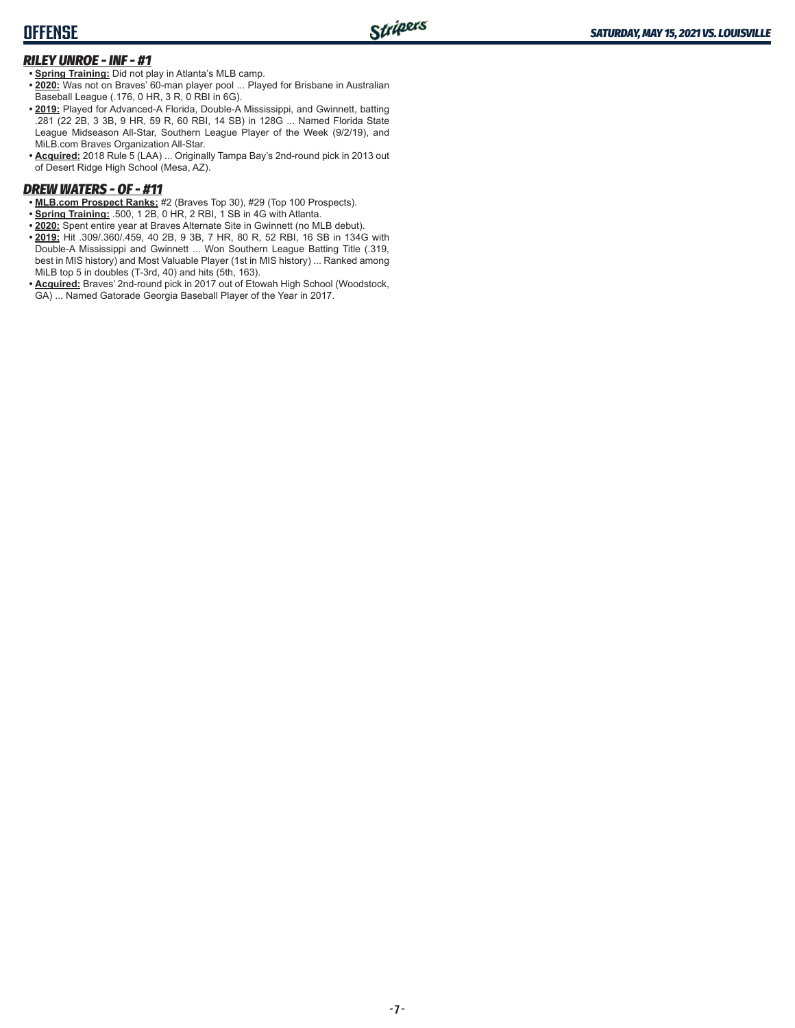## **OFFENSE**

## *RILEY UNROE - INF - #1*

**• Spring Training:** Did not play in Atlanta's MLB camp.

- **• 2020:** Was not on Braves' 60-man player pool ... Played for Brisbane in Australian Baseball League (.176, 0 HR, 3 R, 0 RBI in 6G).
- **• 2019:** Played for Advanced-A Florida, Double-A Mississippi, and Gwinnett, batting .281 (22 2B, 3 3B, 9 HR, 59 R, 60 RBI, 14 SB) in 128G ... Named Florida State League Midseason All-Star, Southern League Player of the Week (9/2/19), and MiLB.com Braves Organization All-Star.
- **• Acquired:** 2018 Rule 5 (LAA) ... Originally Tampa Bay's 2nd-round pick in 2013 out of Desert Ridge High School (Mesa, AZ).

### *DREW WATERS - OF - #11*

- **• MLB.com Prospect Ranks:** #2 (Braves Top 30), #29 (Top 100 Prospects).
- **• Spring Training:** .500, 1 2B, 0 HR, 2 RBI, 1 SB in 4G with Atlanta.
- **• 2020:** Spent entire year at Braves Alternate Site in Gwinnett (no MLB debut).
- **• 2019:** Hit .309/.360/.459, 40 2B, 9 3B, 7 HR, 80 R, 52 RBI, 16 SB in 134G with Double-A Mississippi and Gwinnett ... Won Southern League Batting Title (.319, best in MIS history) and Most Valuable Player (1st in MIS history) ... Ranked among MiLB top 5 in doubles (T-3rd, 40) and hits (5th, 163).
- **• Acquired:** Braves' 2nd-round pick in 2017 out of Etowah High School (Woodstock, GA) ... Named Gatorade Georgia Baseball Player of the Year in 2017.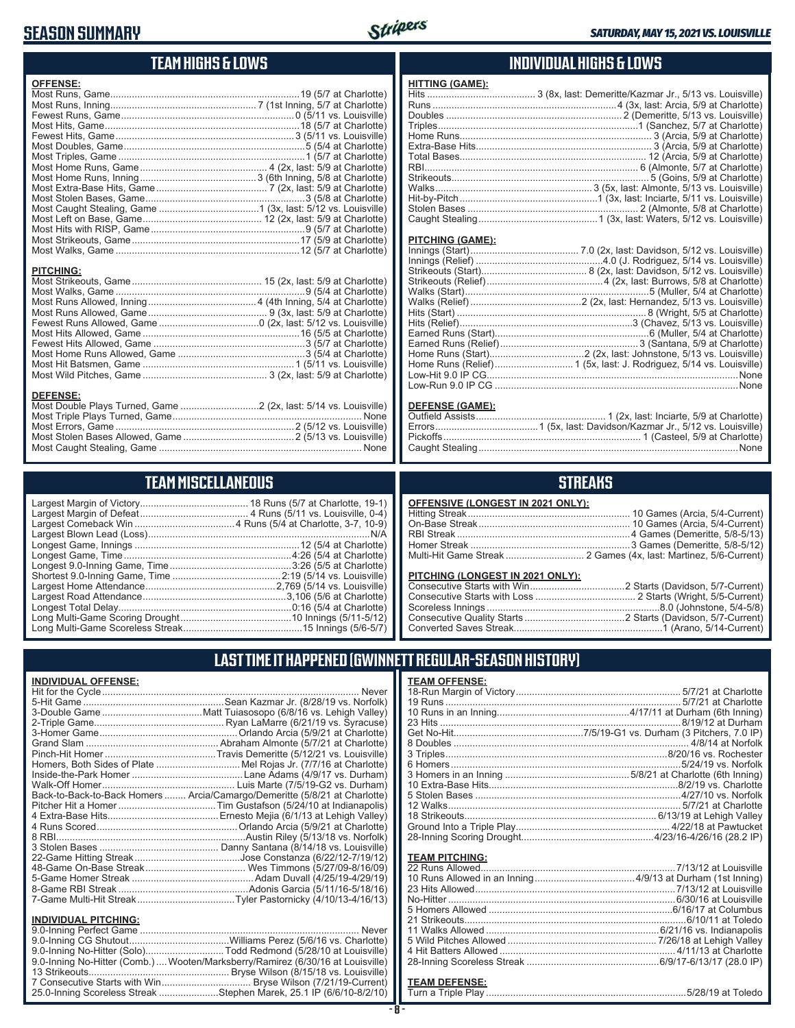## **SEASON SUMMARY**



## **TEAM HIGHS & LOWS**

| <b>OFFENSE:</b>  |  |
|------------------|--|
|                  |  |
|                  |  |
|                  |  |
|                  |  |
|                  |  |
|                  |  |
|                  |  |
|                  |  |
|                  |  |
|                  |  |
|                  |  |
|                  |  |
|                  |  |
|                  |  |
|                  |  |
|                  |  |
|                  |  |
| <b>PITCHING:</b> |  |
|                  |  |
|                  |  |
|                  |  |
|                  |  |
|                  |  |
|                  |  |
|                  |  |
|                  |  |
|                  |  |
|                  |  |
| <b>DEFENSE:</b>  |  |
|                  |  |
|                  |  |

## **TEAM MISCELLANEOUS**

Most Stolen Bases Allowed, Game 2 (5/13 vs. Louisville) Most Caught Stealing, Game None

## **INDIVIDUAL HIGHS & LOWS**

| <b>HITTING (GAME):</b> |  |
|------------------------|--|
|                        |  |
|                        |  |
|                        |  |
|                        |  |
|                        |  |
|                        |  |
|                        |  |
|                        |  |
|                        |  |
|                        |  |
|                        |  |
|                        |  |
|                        |  |

#### **PITCHING (GAME):**

#### **DEFENSE (GAME):**

## **STREAKS**

#### **PITCHING (LONGEST IN 2021 ONLY):**

## **LAST TIME IT HAPPENED (GWINNETT REGULAR-SEASON HISTORY)**

| <b>INDIVIDUAL OFFENSE:</b>  |                                                                                 |
|-----------------------------|---------------------------------------------------------------------------------|
|                             | Never                                                                           |
|                             |                                                                                 |
|                             |                                                                                 |
|                             |                                                                                 |
|                             |                                                                                 |
|                             |                                                                                 |
|                             |                                                                                 |
|                             |                                                                                 |
|                             |                                                                                 |
|                             |                                                                                 |
|                             | Back-to-Back-to-Back Homers  Arcia/Camargo/Demeritte (5/8/21 at Charlotte)      |
|                             |                                                                                 |
|                             |                                                                                 |
|                             |                                                                                 |
|                             |                                                                                 |
|                             |                                                                                 |
|                             |                                                                                 |
|                             |                                                                                 |
|                             |                                                                                 |
|                             |                                                                                 |
|                             |                                                                                 |
| <b>INDIVIDUAL PITCHING:</b> |                                                                                 |
|                             |                                                                                 |
|                             |                                                                                 |
|                             | 9.0-Inning No-Hitter (Solo)Todd Redmond (5/28/10 at Louisville)                 |
|                             | 9.0-Inning No-Hitter (Comb.)  Wooten/Marksberry/Ramirez (6/30/16 at Louisville) |
|                             |                                                                                 |

7 Consecutive Starts with Win................................ Bryse Wilson (7/21/19-Current) 25.0-Inning Scoreless Streak ......................Stephen Marek, 25.1 IP (6/6/10-8/2/10)

| <b>TEAM OFFENSE:</b> |  |
|----------------------|--|
|                      |  |

### **TEAM PITCHING:**

#### **TEAM DEFENSE:**